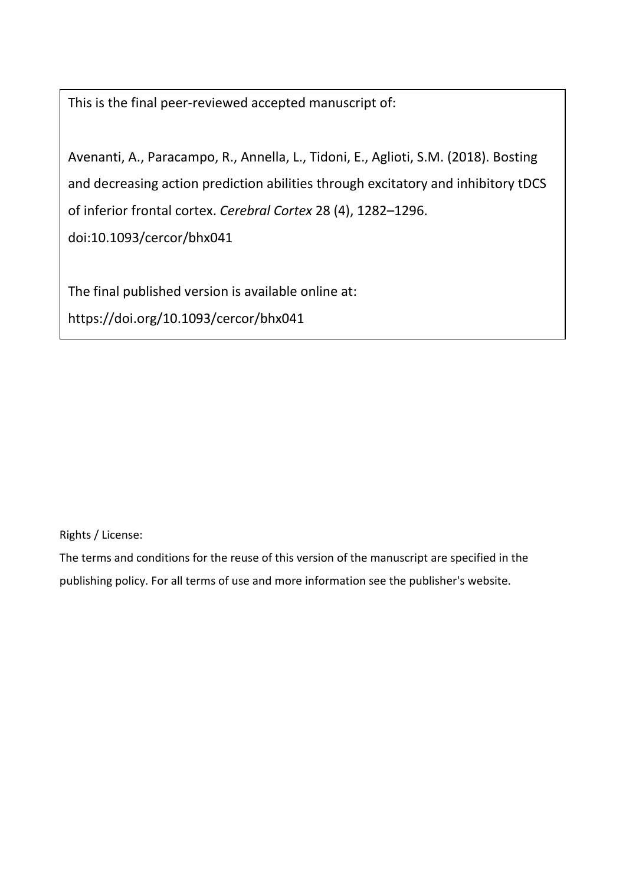This is the final peer-reviewed accepted manuscript of:

Avenanti, A., Paracampo, R., Annella, L., Tidoni, E., Aglioti, S.M. (2018). Bosting and decreasing action prediction abilities through excitatory and inhibitory tDCS of inferior frontal cortex. *Cerebral Cortex* 28 (4), 1282–1296. doi:10.1093/cercor/bhx041

The final published version is available online at:

https://doi.org/10.1093/cercor/bhx041

Rights / License:

The terms and conditions for the reuse of this version of the manuscript are specified in the publishing policy. For all terms of use and more information see the publisher's website.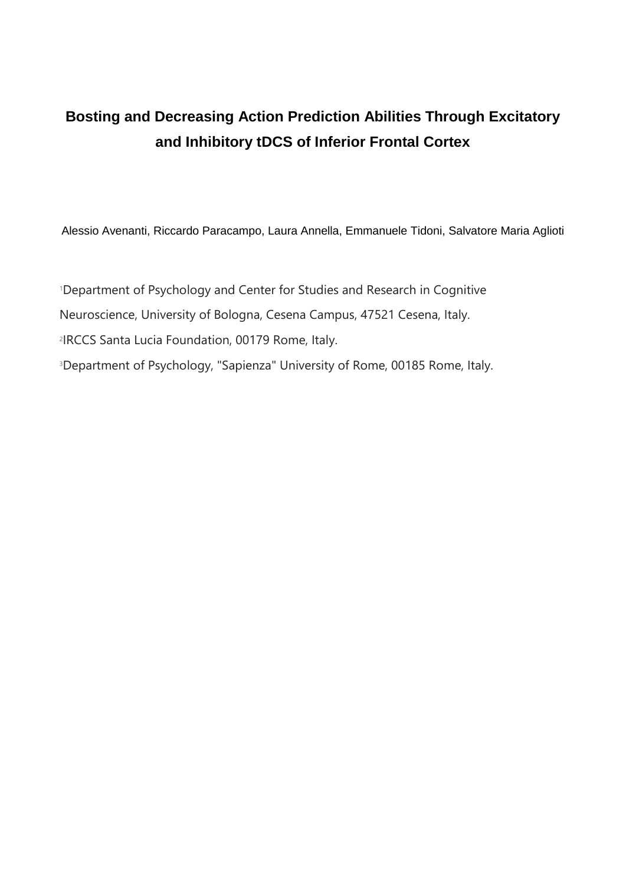# **Bosting and Decreasing Action Prediction Abilities Through Excitatory and Inhibitory tDCS of Inferior Frontal Cortex**

Alessio Avenanti, Riccardo Paracampo, Laura Annella, Emmanuele Tidoni, Salvatore Maria Aglioti

<sup>1</sup>Department of Psychology and Center for Studies and Research in Cognitive Neuroscience, University of Bologna, Cesena Campus, 47521 Cesena, Italy. 2 IRCCS Santa Lucia Foundation, 00179 Rome, Italy. <sup>3</sup>Department of Psychology, "Sapienza" University of Rome, 00185 Rome, Italy.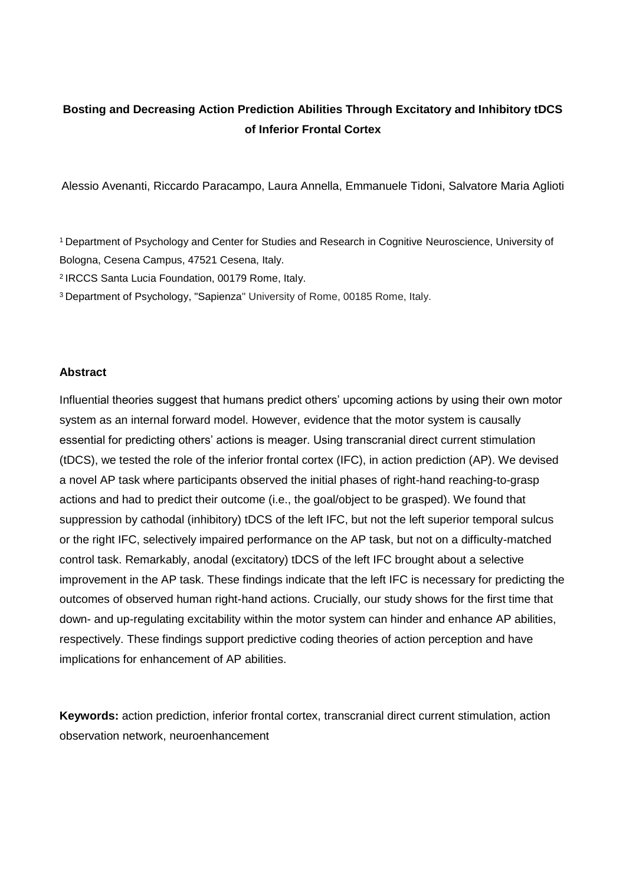# **Bosting and Decreasing Action Prediction Abilities Through Excitatory and Inhibitory tDCS of Inferior Frontal Cortex**

Alessio Avenanti, Riccardo Paracampo, Laura Annella, Emmanuele Tidoni, Salvatore Maria Aglioti

<sup>1</sup> Department of Psychology and Center for Studies and Research in Cognitive Neuroscience, University of Bologna, Cesena Campus, 47521 Cesena, Italy.

2 IRCCS Santa Lucia Foundation, 00179 Rome, Italy.

<sup>3</sup> Department of Psychology, "Sapienza" University of Rome, 00185 Rome, Italy.

#### **Abstract**

Influential theories suggest that humans predict others' upcoming actions by using their own motor system as an internal forward model. However, evidence that the motor system is causally essential for predicting others' actions is meager. Using transcranial direct current stimulation (tDCS), we tested the role of the inferior frontal cortex (IFC), in action prediction (AP). We devised a novel AP task where participants observed the initial phases of right-hand reaching-to-grasp actions and had to predict their outcome (i.e., the goal/object to be grasped). We found that suppression by cathodal (inhibitory) tDCS of the left IFC, but not the left superior temporal sulcus or the right IFC, selectively impaired performance on the AP task, but not on a difficulty-matched control task. Remarkably, anodal (excitatory) tDCS of the left IFC brought about a selective improvement in the AP task. These findings indicate that the left IFC is necessary for predicting the outcomes of observed human right-hand actions. Crucially, our study shows for the first time that down- and up-regulating excitability within the motor system can hinder and enhance AP abilities, respectively. These findings support predictive coding theories of action perception and have implications for enhancement of AP abilities.

**Keywords:** action prediction, inferior frontal cortex, transcranial direct current stimulation, action observation network, neuroenhancement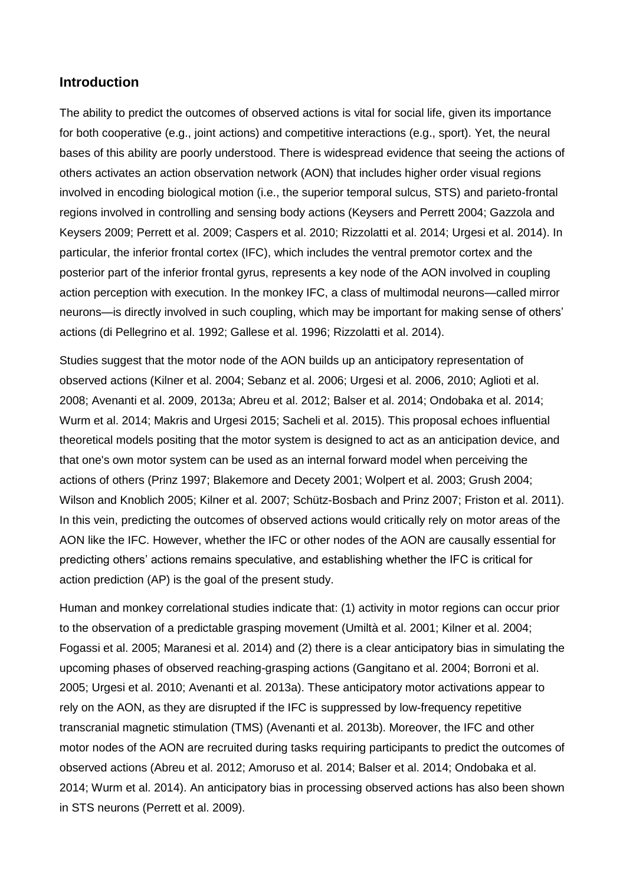## **Introduction**

The ability to predict the outcomes of observed actions is vital for social life, given its importance for both cooperative (e.g., joint actions) and competitive interactions (e.g., sport). Yet, the neural bases of this ability are poorly understood. There is widespread evidence that seeing the actions of others activates an action observation network (AON) that includes higher order visual regions involved in encoding biological motion (i.e., the superior temporal sulcus, STS) and parieto-frontal regions involved in controlling and sensing body actions (Keysers and Perrett 2004; Gazzola and Keysers 2009; Perrett et al. 2009; Caspers et al. 2010; Rizzolatti et al. 2014; Urgesi et al. 2014). In particular, the inferior frontal cortex (IFC), which includes the ventral premotor cortex and the posterior part of the inferior frontal gyrus, represents a key node of the AON involved in coupling action perception with execution. In the monkey IFC, a class of multimodal neurons—called mirror neurons—is directly involved in such coupling, which may be important for making sense of others' actions (di Pellegrino et al. 1992; Gallese et al. 1996; Rizzolatti et al. 2014).

Studies suggest that the motor node of the AON builds up an anticipatory representation of observed actions (Kilner et al. 2004; Sebanz et al. 2006; Urgesi et al. 2006, 2010; Aglioti et al. 2008; Avenanti et al. 2009, 2013a; Abreu et al. 2012; Balser et al. 2014; Ondobaka et al. 2014; Wurm et al. 2014; Makris and Urgesi 2015; Sacheli et al. 2015). This proposal echoes influential theoretical models positing that the motor system is designed to act as an anticipation device, and that one's own motor system can be used as an internal forward model when perceiving the actions of others (Prinz 1997; Blakemore and Decety 2001; Wolpert et al. 2003; Grush 2004; Wilson and Knoblich 2005; Kilner et al. 2007; Schütz-Bosbach and Prinz 2007; Friston et al. 2011). In this vein, predicting the outcomes of observed actions would critically rely on motor areas of the AON like the IFC. However, whether the IFC or other nodes of the AON are causally essential for predicting others' actions remains speculative, and establishing whether the IFC is critical for action prediction (AP) is the goal of the present study.

Human and monkey correlational studies indicate that: (1) activity in motor regions can occur prior to the observation of a predictable grasping movement (Umiltà et al. 2001; Kilner et al. 2004; Fogassi et al. 2005; Maranesi et al. 2014) and (2) there is a clear anticipatory bias in simulating the upcoming phases of observed reaching-grasping actions (Gangitano et al. 2004; Borroni et al. 2005; Urgesi et al. 2010; Avenanti et al. 2013a). These anticipatory motor activations appear to rely on the AON, as they are disrupted if the IFC is suppressed by low-frequency repetitive transcranial magnetic stimulation (TMS) (Avenanti et al. 2013b). Moreover, the IFC and other motor nodes of the AON are recruited during tasks requiring participants to predict the outcomes of observed actions (Abreu et al. 2012; Amoruso et al. 2014; Balser et al. 2014; Ondobaka et al. 2014; Wurm et al. 2014). An anticipatory bias in processing observed actions has also been shown in STS neurons (Perrett et al. 2009).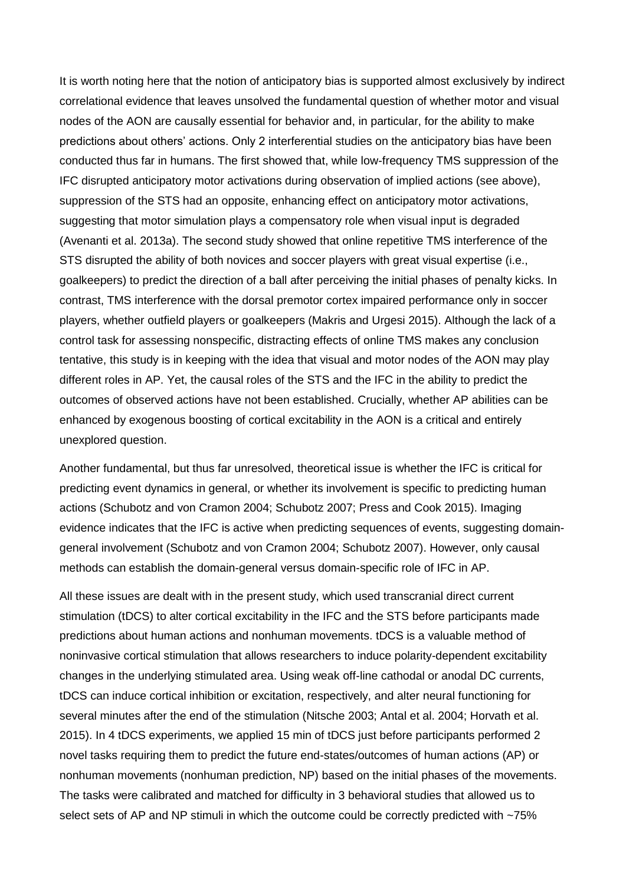It is worth noting here that the notion of anticipatory bias is supported almost exclusively by indirect correlational evidence that leaves unsolved the fundamental question of whether motor and visual nodes of the AON are causally essential for behavior and, in particular, for the ability to make predictions about others' actions. Only 2 interferential studies on the anticipatory bias have been conducted thus far in humans. The first showed that, while low-frequency TMS suppression of the IFC disrupted anticipatory motor activations during observation of implied actions (see above), suppression of the STS had an opposite, enhancing effect on anticipatory motor activations, suggesting that motor simulation plays a compensatory role when visual input is degraded (Avenanti et al. 2013a). The second study showed that online repetitive TMS interference of the STS disrupted the ability of both novices and soccer players with great visual expertise (i.e., goalkeepers) to predict the direction of a ball after perceiving the initial phases of penalty kicks. In contrast, TMS interference with the dorsal premotor cortex impaired performance only in soccer players, whether outfield players or goalkeepers (Makris and Urgesi 2015). Although the lack of a control task for assessing nonspecific, distracting effects of online TMS makes any conclusion tentative, this study is in keeping with the idea that visual and motor nodes of the AON may play different roles in AP. Yet, the causal roles of the STS and the IFC in the ability to predict the outcomes of observed actions have not been established. Crucially, whether AP abilities can be enhanced by exogenous boosting of cortical excitability in the AON is a critical and entirely unexplored question.

Another fundamental, but thus far unresolved, theoretical issue is whether the IFC is critical for predicting event dynamics in general, or whether its involvement is specific to predicting human actions (Schubotz and von Cramon 2004; Schubotz 2007; Press and Cook 2015). Imaging evidence indicates that the IFC is active when predicting sequences of events, suggesting domaingeneral involvement (Schubotz and von Cramon 2004; Schubotz 2007). However, only causal methods can establish the domain-general versus domain-specific role of IFC in AP.

All these issues are dealt with in the present study, which used transcranial direct current stimulation (tDCS) to alter cortical excitability in the IFC and the STS before participants made predictions about human actions and nonhuman movements. tDCS is a valuable method of noninvasive cortical stimulation that allows researchers to induce polarity-dependent excitability changes in the underlying stimulated area. Using weak off-line cathodal or anodal DC currents, tDCS can induce cortical inhibition or excitation, respectively, and alter neural functioning for several minutes after the end of the stimulation (Nitsche 2003; Antal et al. 2004; Horvath et al. 2015). In 4 tDCS experiments, we applied 15 min of tDCS just before participants performed 2 novel tasks requiring them to predict the future end-states/outcomes of human actions (AP) or nonhuman movements (nonhuman prediction, NP) based on the initial phases of the movements. The tasks were calibrated and matched for difficulty in 3 behavioral studies that allowed us to select sets of AP and NP stimuli in which the outcome could be correctly predicted with ~75%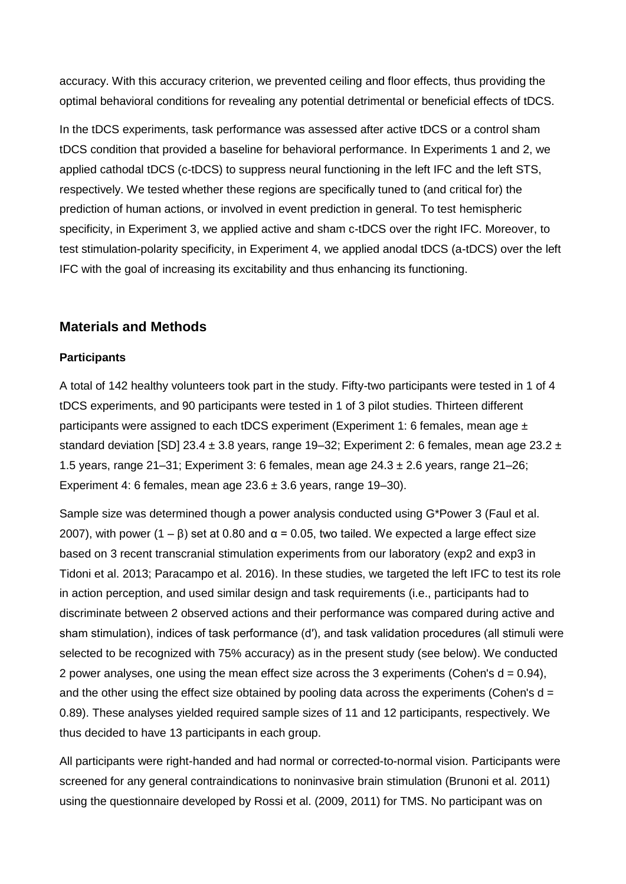accuracy. With this accuracy criterion, we prevented ceiling and floor effects, thus providing the optimal behavioral conditions for revealing any potential detrimental or beneficial effects of tDCS.

In the tDCS experiments, task performance was assessed after active tDCS or a control sham tDCS condition that provided a baseline for behavioral performance. In Experiments 1 and 2, we applied cathodal tDCS (c-tDCS) to suppress neural functioning in the left IFC and the left STS, respectively. We tested whether these regions are specifically tuned to (and critical for) the prediction of human actions, or involved in event prediction in general. To test hemispheric specificity, in Experiment 3, we applied active and sham c-tDCS over the right IFC. Moreover, to test stimulation-polarity specificity, in Experiment 4, we applied anodal tDCS (a-tDCS) over the left IFC with the goal of increasing its excitability and thus enhancing its functioning.

# **Materials and Methods**

### **Participants**

A total of 142 healthy volunteers took part in the study. Fifty-two participants were tested in 1 of 4 tDCS experiments, and 90 participants were tested in 1 of 3 pilot studies. Thirteen different participants were assigned to each tDCS experiment (Experiment 1: 6 females, mean age  $\pm$ standard deviation [SD] 23.4  $\pm$  3.8 years, range 19–32; Experiment 2: 6 females, mean age 23.2  $\pm$ 1.5 years, range 21–31; Experiment 3: 6 females, mean age 24.3 ± 2.6 years, range 21–26; Experiment 4: 6 females, mean age  $23.6 \pm 3.6$  years, range 19-30).

Sample size was determined though a power analysis conducted using G\*Power 3 (Faul et al. 2007), with power (1 – β) set at 0.80 and  $\alpha$  = 0.05, two tailed. We expected a large effect size based on 3 recent transcranial stimulation experiments from our laboratory (exp2 and exp3 in Tidoni et al. 2013; Paracampo et al. 2016). In these studies, we targeted the left IFC to test its role in action perception, and used similar design and task requirements (i.e., participants had to discriminate between 2 observed actions and their performance was compared during active and sham stimulation), indices of task performance (d′), and task validation procedures (all stimuli were selected to be recognized with 75% accuracy) as in the present study (see below). We conducted 2 power analyses, one using the mean effect size across the 3 experiments (Cohen's  $d = 0.94$ ), and the other using the effect size obtained by pooling data across the experiments (Cohen's  $d =$ 0.89). These analyses yielded required sample sizes of 11 and 12 participants, respectively. We thus decided to have 13 participants in each group.

All participants were right-handed and had normal or corrected-to-normal vision. Participants were screened for any general contraindications to noninvasive brain stimulation (Brunoni et al. 2011) using the questionnaire developed by Rossi et al. (2009, 2011) for TMS. No participant was on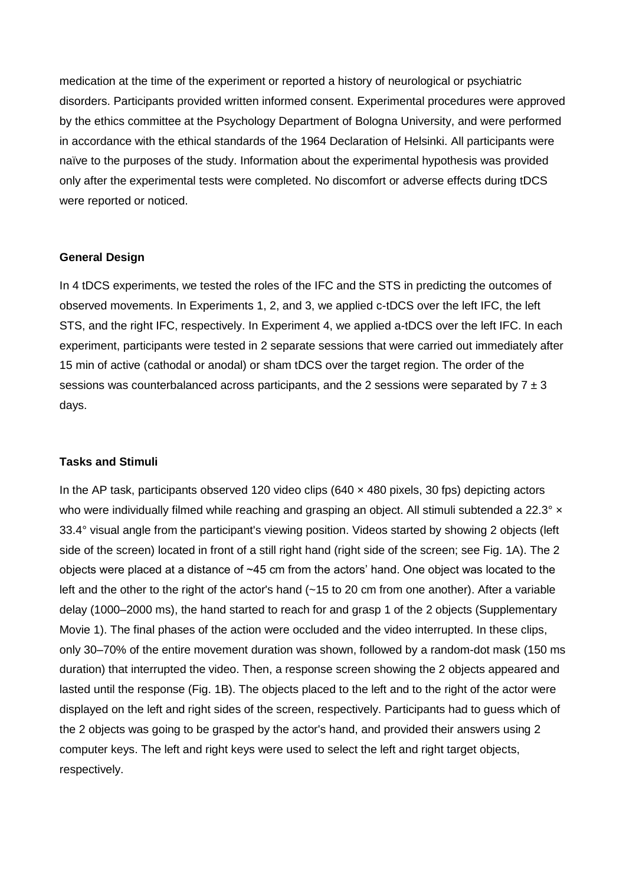medication at the time of the experiment or reported a history of neurological or psychiatric disorders. Participants provided written informed consent. Experimental procedures were approved by the ethics committee at the Psychology Department of Bologna University, and were performed in accordance with the ethical standards of the 1964 Declaration of Helsinki. All participants were naïve to the purposes of the study. Information about the experimental hypothesis was provided only after the experimental tests were completed. No discomfort or adverse effects during tDCS were reported or noticed.

#### **General Design**

In 4 tDCS experiments, we tested the roles of the IFC and the STS in predicting the outcomes of observed movements. In Experiments 1, 2, and 3, we applied c-tDCS over the left IFC, the left STS, and the right IFC, respectively. In Experiment 4, we applied a-tDCS over the left IFC. In each experiment, participants were tested in 2 separate sessions that were carried out immediately after 15 min of active (cathodal or anodal) or sham tDCS over the target region. The order of the sessions was counterbalanced across participants, and the 2 sessions were separated by  $7 \pm 3$ days.

#### **Tasks and Stimuli**

In the AP task, participants observed 120 video clips  $(640 \times 480$  pixels, 30 fps) depicting actors who were individually filmed while reaching and grasping an object. All stimuli subtended a 22.3° × 33.4° visual angle from the participant's viewing position. Videos started by showing 2 objects (left side of the screen) located in front of a still right hand (right side of the screen; see Fig. 1A). The 2 objects were placed at a distance of ~45 cm from the actors' hand. One object was located to the left and the other to the right of the actor's hand (~15 to 20 cm from one another). After a variable delay (1000–2000 ms), the hand started to reach for and grasp 1 of the 2 objects (Supplementary Movie 1). The final phases of the action were occluded and the video interrupted. In these clips, only 30–70% of the entire movement duration was shown, followed by a random-dot mask (150 ms duration) that interrupted the video. Then, a response screen showing the 2 objects appeared and lasted until the response (Fig. 1B). The objects placed to the left and to the right of the actor were displayed on the left and right sides of the screen, respectively. Participants had to guess which of the 2 objects was going to be grasped by the actor's hand, and provided their answers using 2 computer keys. The left and right keys were used to select the left and right target objects, respectively.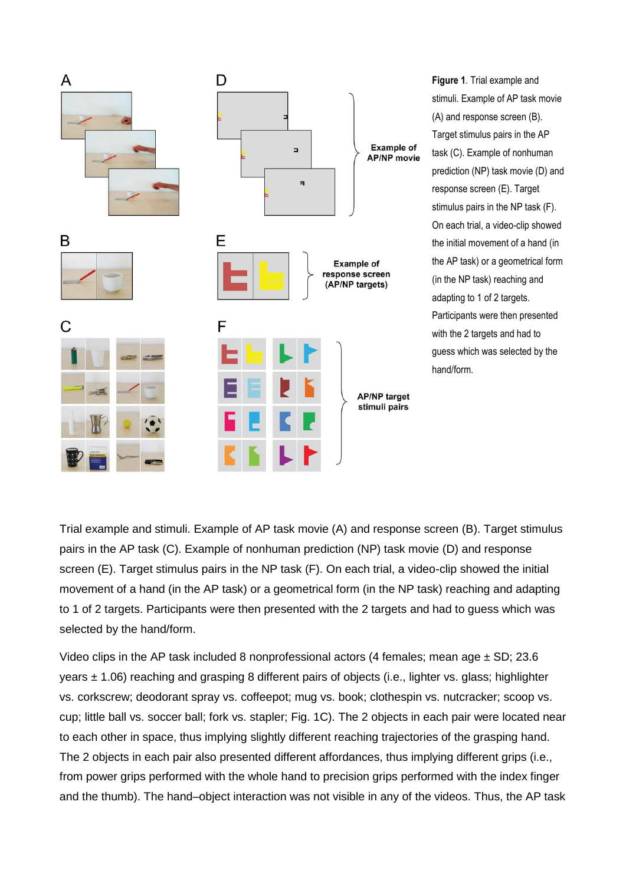

**Figure 1**. Trial example and stimuli. Example of AP task movie (A) and response screen (B). Target stimulus pairs in the AP task (C). Example of nonhuman prediction (NP) task movie (D) and response screen (E). Target stimulus pairs in the NP task (F). On each trial, a video-clip showed the initial movement of a hand (in the AP task) or a geometrical form (in the NP task) reaching and adapting to 1 of 2 targets. Participants were then presented with the 2 targets and had to guess which was selected by the hand/form.

Trial example and stimuli. Example of AP task movie (A) and response screen (B). Target stimulus pairs in the AP task (C). Example of nonhuman prediction (NP) task movie (D) and response screen (E). Target stimulus pairs in the NP task (F). On each trial, a video-clip showed the initial movement of a hand (in the AP task) or a geometrical form (in the NP task) reaching and adapting to 1 of 2 targets. Participants were then presented with the 2 targets and had to guess which was selected by the hand/form.

Video clips in the AP task included 8 nonprofessional actors (4 females; mean age  $\pm$  SD; 23.6 years ± 1.06) reaching and grasping 8 different pairs of objects (i.e., lighter vs. glass; highlighter vs. corkscrew; deodorant spray vs. coffeepot; mug vs. book; clothespin vs. nutcracker; scoop vs. cup; little ball vs. soccer ball; fork vs. stapler; Fig. 1C). The 2 objects in each pair were located near to each other in space, thus implying slightly different reaching trajectories of the grasping hand. The 2 objects in each pair also presented different affordances, thus implying different grips (i.e., from power grips performed with the whole hand to precision grips performed with the index finger and the thumb). The hand–object interaction was not visible in any of the videos. Thus, the AP task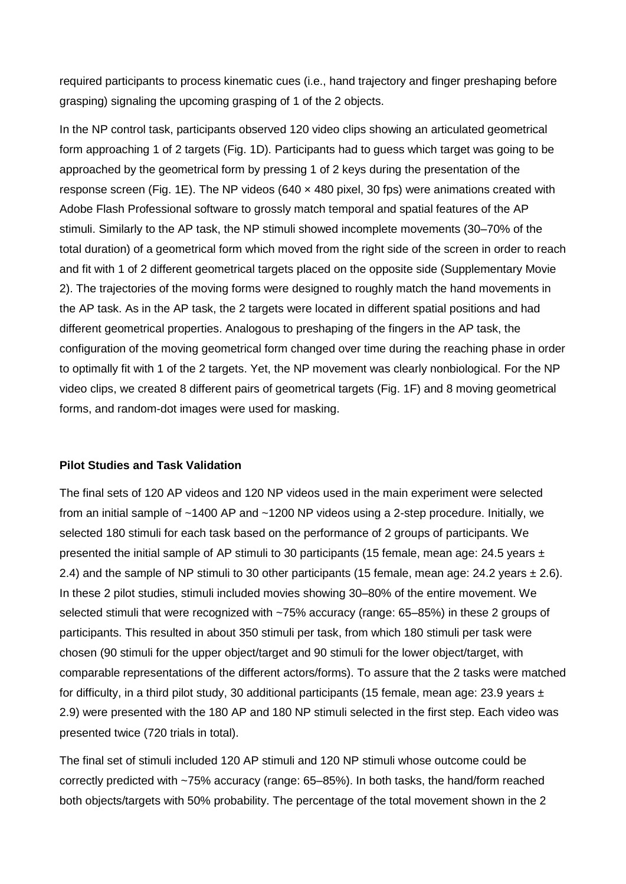required participants to process kinematic cues (i.e., hand trajectory and finger preshaping before grasping) signaling the upcoming grasping of 1 of the 2 objects.

In the NP control task, participants observed 120 video clips showing an articulated geometrical form approaching 1 of 2 targets (Fig. 1D). Participants had to guess which target was going to be approached by the geometrical form by pressing 1 of 2 keys during the presentation of the response screen (Fig. 1E). The NP videos (640  $\times$  480 pixel, 30 fps) were animations created with Adobe Flash Professional software to grossly match temporal and spatial features of the AP stimuli. Similarly to the AP task, the NP stimuli showed incomplete movements (30–70% of the total duration) of a geometrical form which moved from the right side of the screen in order to reach and fit with 1 of 2 different geometrical targets placed on the opposite side (Supplementary Movie 2). The trajectories of the moving forms were designed to roughly match the hand movements in the AP task. As in the AP task, the 2 targets were located in different spatial positions and had different geometrical properties. Analogous to preshaping of the fingers in the AP task, the configuration of the moving geometrical form changed over time during the reaching phase in order to optimally fit with 1 of the 2 targets. Yet, the NP movement was clearly nonbiological. For the NP video clips, we created 8 different pairs of geometrical targets (Fig. 1F) and 8 moving geometrical forms, and random-dot images were used for masking.

#### **Pilot Studies and Task Validation**

The final sets of 120 AP videos and 120 NP videos used in the main experiment were selected from an initial sample of ~1400 AP and ~1200 NP videos using a 2-step procedure. Initially, we selected 180 stimuli for each task based on the performance of 2 groups of participants. We presented the initial sample of AP stimuli to 30 participants (15 female, mean age: 24.5 years  $\pm$ 2.4) and the sample of NP stimuli to 30 other participants (15 female, mean age: 24.2 years  $\pm$  2.6). In these 2 pilot studies, stimuli included movies showing 30–80% of the entire movement. We selected stimuli that were recognized with ~75% accuracy (range: 65–85%) in these 2 groups of participants. This resulted in about 350 stimuli per task, from which 180 stimuli per task were chosen (90 stimuli for the upper object/target and 90 stimuli for the lower object/target, with comparable representations of the different actors/forms). To assure that the 2 tasks were matched for difficulty, in a third pilot study, 30 additional participants (15 female, mean age: 23.9 years  $\pm$ 2.9) were presented with the 180 AP and 180 NP stimuli selected in the first step. Each video was presented twice (720 trials in total).

The final set of stimuli included 120 AP stimuli and 120 NP stimuli whose outcome could be correctly predicted with ~75% accuracy (range: 65–85%). In both tasks, the hand/form reached both objects/targets with 50% probability. The percentage of the total movement shown in the 2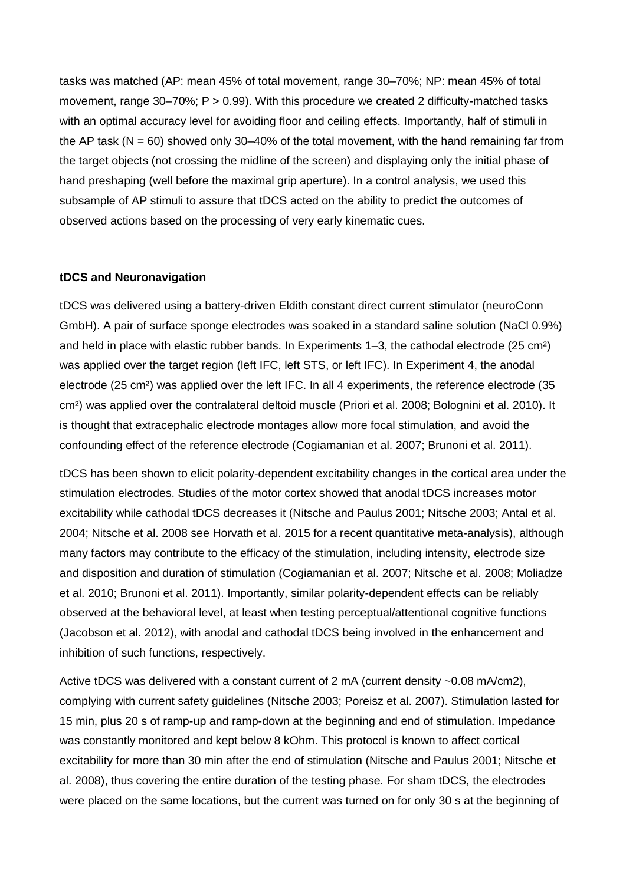tasks was matched (AP: mean 45% of total movement, range 30–70%; NP: mean 45% of total movement, range 30–70%; P > 0.99). With this procedure we created 2 difficulty-matched tasks with an optimal accuracy level for avoiding floor and ceiling effects. Importantly, half of stimuli in the AP task ( $N = 60$ ) showed only 30–40% of the total movement, with the hand remaining far from the target objects (not crossing the midline of the screen) and displaying only the initial phase of hand preshaping (well before the maximal grip aperture). In a control analysis, we used this subsample of AP stimuli to assure that tDCS acted on the ability to predict the outcomes of observed actions based on the processing of very early kinematic cues.

#### **tDCS and Neuronavigation**

tDCS was delivered using a battery-driven Eldith constant direct current stimulator (neuroConn GmbH). A pair of surface sponge electrodes was soaked in a standard saline solution (NaCl 0.9%) and held in place with elastic rubber bands. In Experiments 1–3, the cathodal electrode (25 cm²) was applied over the target region (left IFC, left STS, or left IFC). In Experiment 4, the anodal electrode (25 cm²) was applied over the left IFC. In all 4 experiments, the reference electrode (35 cm²) was applied over the contralateral deltoid muscle (Priori et al. 2008; Bolognini et al. 2010). It is thought that extracephalic electrode montages allow more focal stimulation, and avoid the confounding effect of the reference electrode (Cogiamanian et al. 2007; Brunoni et al. 2011).

tDCS has been shown to elicit polarity-dependent excitability changes in the cortical area under the stimulation electrodes. Studies of the motor cortex showed that anodal tDCS increases motor excitability while cathodal tDCS decreases it (Nitsche and Paulus 2001; Nitsche 2003; Antal et al. 2004; Nitsche et al. 2008 see Horvath et al. 2015 for a recent quantitative meta-analysis), although many factors may contribute to the efficacy of the stimulation, including intensity, electrode size and disposition and duration of stimulation (Cogiamanian et al. 2007; Nitsche et al. 2008; Moliadze et al. 2010; Brunoni et al. 2011). Importantly, similar polarity-dependent effects can be reliably observed at the behavioral level, at least when testing perceptual/attentional cognitive functions (Jacobson et al. 2012), with anodal and cathodal tDCS being involved in the enhancement and inhibition of such functions, respectively.

Active tDCS was delivered with a constant current of 2 mA (current density ~0.08 mA/cm2), complying with current safety guidelines (Nitsche 2003; Poreisz et al. 2007). Stimulation lasted for 15 min, plus 20 s of ramp-up and ramp-down at the beginning and end of stimulation. Impedance was constantly monitored and kept below 8 kOhm. This protocol is known to affect cortical excitability for more than 30 min after the end of stimulation (Nitsche and Paulus 2001; Nitsche et al. 2008), thus covering the entire duration of the testing phase. For sham tDCS, the electrodes were placed on the same locations, but the current was turned on for only 30 s at the beginning of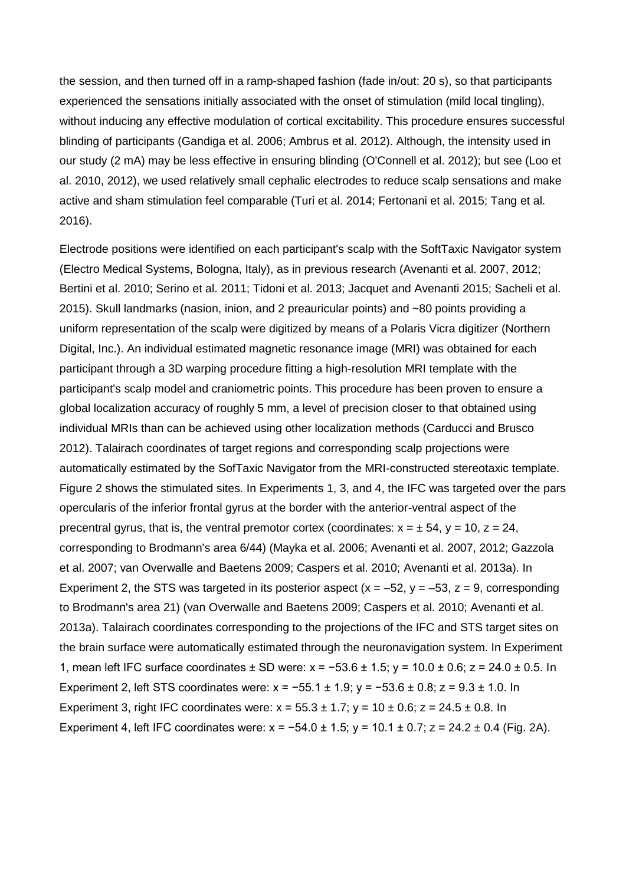the session, and then turned off in a ramp-shaped fashion (fade in/out: 20 s), so that participants experienced the sensations initially associated with the onset of stimulation (mild local tingling), without inducing any effective modulation of cortical excitability. This procedure ensures successful blinding of participants (Gandiga et al. 2006; Ambrus et al. 2012). Although, the intensity used in our study (2 mA) may be less effective in ensuring blinding (O'Connell et al. 2012); but see (Loo et al. 2010, 2012), we used relatively small cephalic electrodes to reduce scalp sensations and make active and sham stimulation feel comparable (Turi et al. 2014; Fertonani et al. 2015; Tang et al. 2016).

Electrode positions were identified on each participant's scalp with the SoftTaxic Navigator system (Electro Medical Systems, Bologna, Italy), as in previous research (Avenanti et al. 2007, 2012; Bertini et al. 2010; Serino et al. 2011; Tidoni et al. 2013; Jacquet and Avenanti 2015; Sacheli et al. 2015). Skull landmarks (nasion, inion, and 2 preauricular points) and ~80 points providing a uniform representation of the scalp were digitized by means of a Polaris Vicra digitizer (Northern Digital, Inc.). An individual estimated magnetic resonance image (MRI) was obtained for each participant through a 3D warping procedure fitting a high-resolution MRI template with the participant's scalp model and craniometric points. This procedure has been proven to ensure a global localization accuracy of roughly 5 mm, a level of precision closer to that obtained using individual MRIs than can be achieved using other localization methods (Carducci and Brusco 2012). Talairach coordinates of target regions and corresponding scalp projections were automatically estimated by the SofTaxic Navigator from the MRI-constructed stereotaxic template. Figure 2 shows the stimulated sites. In Experiments 1, 3, and 4, the IFC was targeted over the pars opercularis of the inferior frontal gyrus at the border with the anterior-ventral aspect of the precentral gyrus, that is, the ventral premotor cortex (coordinates:  $x = \pm 54$ ,  $y = 10$ ,  $z = 24$ , corresponding to Brodmann's area 6/44) (Mayka et al. 2006; Avenanti et al. 2007, 2012; Gazzola et al. 2007; van Overwalle and Baetens 2009; Caspers et al. 2010; Avenanti et al. 2013a). In Experiment 2, the STS was targeted in its posterior aspect  $(x = -52, y = -53, z = 9$ , corresponding to Brodmann's area 21) (van Overwalle and Baetens 2009; Caspers et al. 2010; Avenanti et al. 2013a). Talairach coordinates corresponding to the projections of the IFC and STS target sites on the brain surface were automatically estimated through the neuronavigation system. In Experiment 1, mean left IFC surface coordinates ± SD were: x = −53.6 ± 1.5; y = 10.0 ± 0.6; z = 24.0 ± 0.5. In Experiment 2, left STS coordinates were: x = −55.1 ± 1.9; y = −53.6 ± 0.8; z = 9.3 ± 1.0. In Experiment 3, right IFC coordinates were:  $x = 55.3 \pm 1.7$ ;  $y = 10 \pm 0.6$ ;  $z = 24.5 \pm 0.8$ . In Experiment 4, left IFC coordinates were:  $x = -54.0 \pm 1.5$ ;  $y = 10.1 \pm 0.7$ ;  $z = 24.2 \pm 0.4$  (Fig. 2A).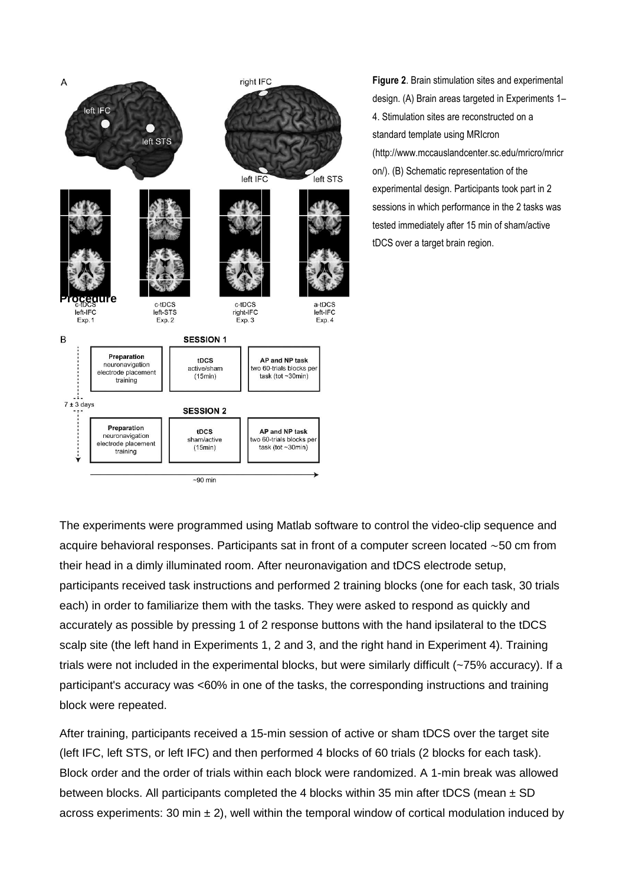

**Figure 2**. Brain stimulation sites and experimental design. (A) Brain areas targeted in Experiments 1– 4. Stimulation sites are reconstructed on a standard template using MRIcron (http://www.mccauslandcenter.sc.edu/mricro/mricr on/). (B) Schematic representation of the experimental design. Participants took part in 2 sessions in which performance in the 2 tasks was tested immediately after 15 min of sham/active tDCS over a target brain region.

The experiments were programmed using Matlab software to control the video-clip sequence and acquire behavioral responses. Participants sat in front of a computer screen located ∼50 cm from their head in a dimly illuminated room. After neuronavigation and tDCS electrode setup, participants received task instructions and performed 2 training blocks (one for each task, 30 trials each) in order to familiarize them with the tasks. They were asked to respond as quickly and accurately as possible by pressing 1 of 2 response buttons with the hand ipsilateral to the tDCS scalp site (the left hand in Experiments 1, 2 and 3, and the right hand in Experiment 4). Training trials were not included in the experimental blocks, but were similarly difficult (~75% accuracy). If a participant's accuracy was <60% in one of the tasks, the corresponding instructions and training block were repeated.

After training, participants received a 15-min session of active or sham tDCS over the target site (left IFC, left STS, or left IFC) and then performed 4 blocks of 60 trials (2 blocks for each task). Block order and the order of trials within each block were randomized. A 1-min break was allowed between blocks. All participants completed the 4 blocks within 35 min after tDCS (mean  $\pm$  SD across experiments: 30 min  $\pm$  2), well within the temporal window of cortical modulation induced by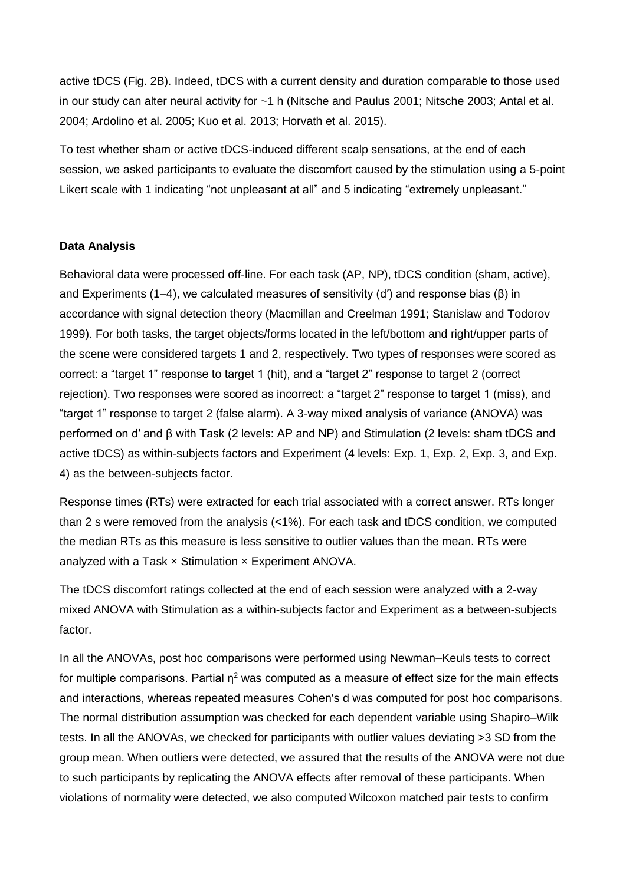active tDCS (Fig. 2B). Indeed, tDCS with a current density and duration comparable to those used in our study can alter neural activity for ~1 h (Nitsche and Paulus 2001; Nitsche 2003; Antal et al. 2004; Ardolino et al. 2005; Kuo et al. 2013; Horvath et al. 2015).

To test whether sham or active tDCS-induced different scalp sensations, at the end of each session, we asked participants to evaluate the discomfort caused by the stimulation using a 5-point Likert scale with 1 indicating "not unpleasant at all" and 5 indicating "extremely unpleasant."

#### **Data Analysis**

Behavioral data were processed off-line. For each task (AP, NP), tDCS condition (sham, active), and Experiments (1–4), we calculated measures of sensitivity (d′) and response bias (β) in accordance with signal detection theory (Macmillan and Creelman 1991; Stanislaw and Todorov 1999). For both tasks, the target objects/forms located in the left/bottom and right/upper parts of the scene were considered targets 1 and 2, respectively. Two types of responses were scored as correct: a "target 1" response to target 1 (hit), and a "target 2" response to target 2 (correct rejection). Two responses were scored as incorrect: a "target 2" response to target 1 (miss), and "target 1" response to target 2 (false alarm). A 3-way mixed analysis of variance (ANOVA) was performed on d′ and β with Task (2 levels: AP and NP) and Stimulation (2 levels: sham tDCS and active tDCS) as within-subjects factors and Experiment (4 levels: Exp. 1, Exp. 2, Exp. 3, and Exp. 4) as the between-subjects factor.

Response times (RTs) were extracted for each trial associated with a correct answer. RTs longer than 2 s were removed from the analysis (<1%). For each task and tDCS condition, we computed the median RTs as this measure is less sensitive to outlier values than the mean. RTs were analyzed with a Task  $\times$  Stimulation  $\times$  Experiment ANOVA.

The tDCS discomfort ratings collected at the end of each session were analyzed with a 2-way mixed ANOVA with Stimulation as a within-subjects factor and Experiment as a between-subjects factor.

In all the ANOVAs, post hoc comparisons were performed using Newman–Keuls tests to correct for multiple comparisons. Partial  $\eta^2$  was computed as a measure of effect size for the main effects and interactions, whereas repeated measures Cohen's d was computed for post hoc comparisons. The normal distribution assumption was checked for each dependent variable using Shapiro–Wilk tests. In all the ANOVAs, we checked for participants with outlier values deviating >3 SD from the group mean. When outliers were detected, we assured that the results of the ANOVA were not due to such participants by replicating the ANOVA effects after removal of these participants. When violations of normality were detected, we also computed Wilcoxon matched pair tests to confirm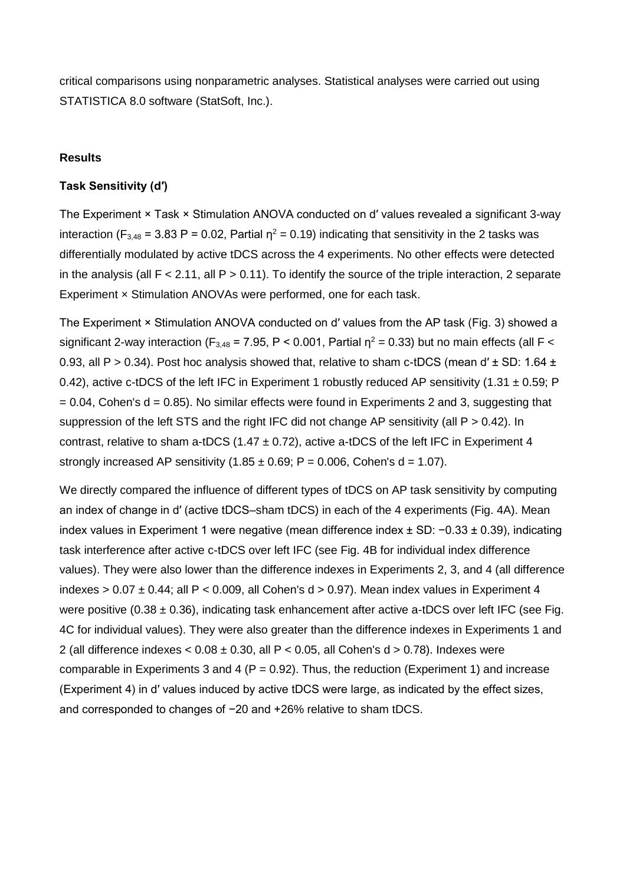critical comparisons using nonparametric analyses. Statistical analyses were carried out using STATISTICA 8.0 software (StatSoft, Inc.).

#### **Results**

#### **Task Sensitivity (d′)**

The Experiment × Task × Stimulation ANOVA conducted on d′ values revealed a significant 3-way interaction (F<sub>3,48</sub> = 3.83 P = 0.02, Partial  $\eta^2$  = 0.19) indicating that sensitivity in the 2 tasks was differentially modulated by active tDCS across the 4 experiments. No other effects were detected in the analysis (all  $F < 2.11$ , all  $P > 0.11$ ). To identify the source of the triple interaction, 2 separate Experiment × Stimulation ANOVAs were performed, one for each task.

The Experiment × Stimulation ANOVA conducted on d′ values from the AP task (Fig. 3) showed a significant 2-way interaction (F<sub>3,48</sub> = 7.95, P < 0.001, Partial  $\eta^2$  = 0.33) but no main effects (all F < 0.93, all P > 0.34). Post hoc analysis showed that, relative to sham c-tDCS (mean d'  $\pm$  SD: 1.64  $\pm$ 0.42), active c-tDCS of the left IFC in Experiment 1 robustly reduced AP sensitivity (1.31  $\pm$  0.59; P  $= 0.04$ , Cohen's d = 0.85). No similar effects were found in Experiments 2 and 3, suggesting that suppression of the left STS and the right IFC did not change AP sensitivity (all P > 0.42). In contrast, relative to sham a-tDCS (1.47  $\pm$  0.72), active a-tDCS of the left IFC in Experiment 4 strongly increased AP sensitivity  $(1.85 \pm 0.69; P = 0.006, Cohen's d = 1.07)$ .

We directly compared the influence of different types of tDCS on AP task sensitivity by computing an index of change in d′ (active tDCS–sham tDCS) in each of the 4 experiments (Fig. 4A). Mean index values in Experiment 1 were negative (mean difference index ± SD: −0.33 ± 0.39), indicating task interference after active c-tDCS over left IFC (see Fig. 4B for individual index difference values). They were also lower than the difference indexes in Experiments 2, 3, and 4 (all difference indexes  $> 0.07 \pm 0.44$ ; all P < 0.009, all Cohen's d  $> 0.97$ ). Mean index values in Experiment 4 were positive (0.38  $\pm$  0.36), indicating task enhancement after active a-tDCS over left IFC (see Fig. 4C for individual values). They were also greater than the difference indexes in Experiments 1 and 2 (all difference indexes  $< 0.08 \pm 0.30$ , all  $P < 0.05$ , all Cohen's d  $> 0.78$ ). Indexes were comparable in Experiments 3 and 4 ( $P = 0.92$ ). Thus, the reduction (Experiment 1) and increase (Experiment 4) in d′ values induced by active tDCS were large, as indicated by the effect sizes, and corresponded to changes of −20 and +26% relative to sham tDCS.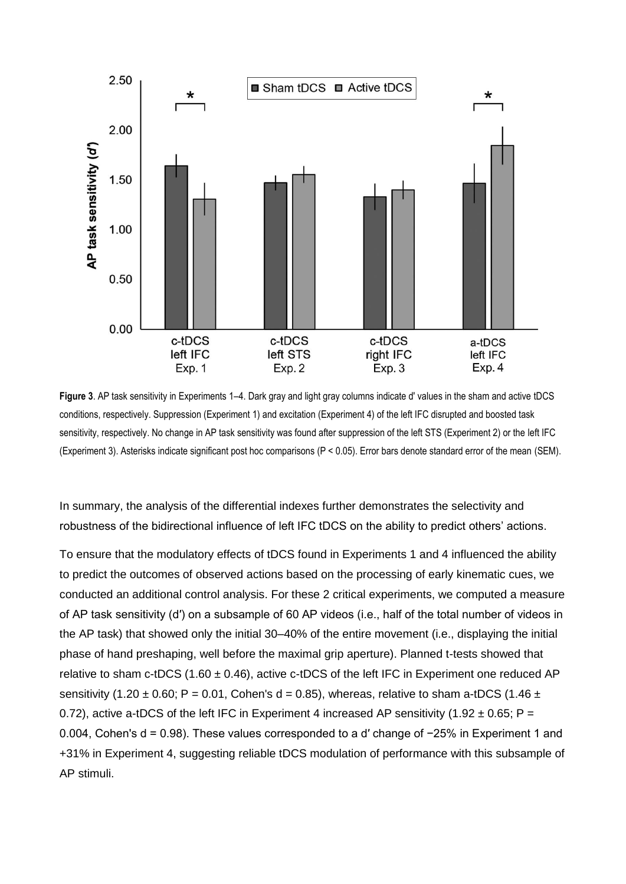

**Figure 3**. AP task sensitivity in Experiments 1–4. Dark gray and light gray columns indicate d′ values in the sham and active tDCS conditions, respectively. Suppression (Experiment 1) and excitation (Experiment 4) of the left IFC disrupted and boosted task sensitivity, respectively. No change in AP task sensitivity was found after suppression of the left STS (Experiment 2) or the left IFC (Experiment 3). Asterisks indicate significant post hoc comparisons (P < 0.05). Error bars denote standard error of the mean (SEM).

In summary, the analysis of the differential indexes further demonstrates the selectivity and robustness of the bidirectional influence of left IFC tDCS on the ability to predict others' actions.

To ensure that the modulatory effects of tDCS found in Experiments 1 and 4 influenced the ability to predict the outcomes of observed actions based on the processing of early kinematic cues, we conducted an additional control analysis. For these 2 critical experiments, we computed a measure of AP task sensitivity (d′) on a subsample of 60 AP videos (i.e., half of the total number of videos in the AP task) that showed only the initial 30–40% of the entire movement (i.e., displaying the initial phase of hand preshaping, well before the maximal grip aperture). Planned t-tests showed that relative to sham c-tDCS (1.60  $\pm$  0.46), active c-tDCS of the left IFC in Experiment one reduced AP sensitivity (1.20  $\pm$  0.60; P = 0.01, Cohen's d = 0.85), whereas, relative to sham a-tDCS (1.46  $\pm$ 0.72), active a-tDCS of the left IFC in Experiment 4 increased AP sensitivity (1.92  $\pm$  0.65; P = 0.004, Cohen's d = 0.98). These values corresponded to a d′ change of −25% in Experiment 1 and +31% in Experiment 4, suggesting reliable tDCS modulation of performance with this subsample of AP stimuli.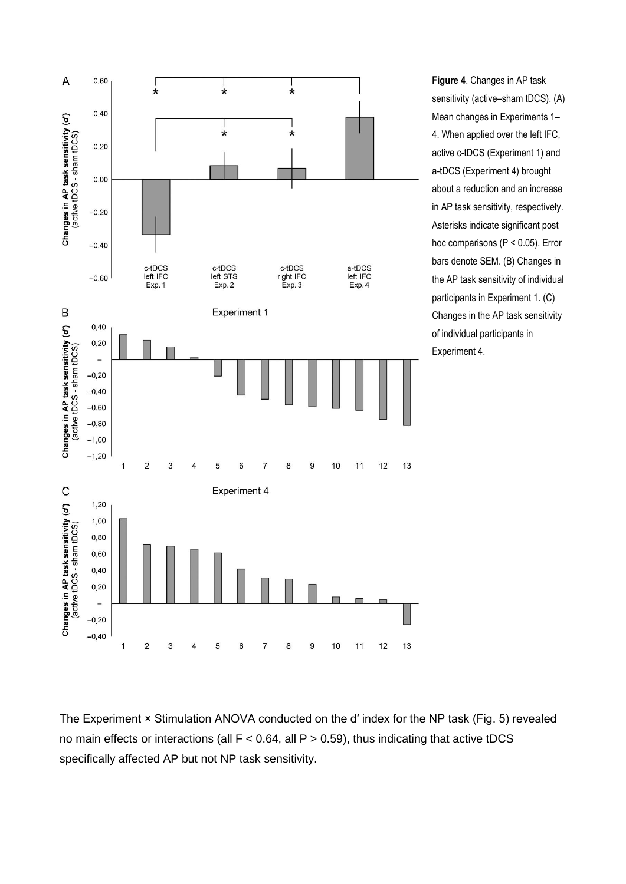

**Figure 4**. Changes in AP task sensitivity (active–sham tDCS). (A) Mean changes in Experiments 1– 4. When applied over the left IFC, active c-tDCS (Experiment 1) and a-tDCS (Experiment 4) brought about a reduction and an increase in AP task sensitivity, respectively. Asterisks indicate significant post hoc comparisons (P < 0.05). Error bars denote SEM. (B) Changes in the AP task sensitivity of individual participants in Experiment 1. (C) Changes in the AP task sensitivity of individual participants in Experiment 4.

The Experiment × Stimulation ANOVA conducted on the d' index for the NP task (Fig. 5) revealed no main effects or interactions (all  $F < 0.64$ , all  $P > 0.59$ ), thus indicating that active tDCS specifically affected AP but not NP task sensitivity.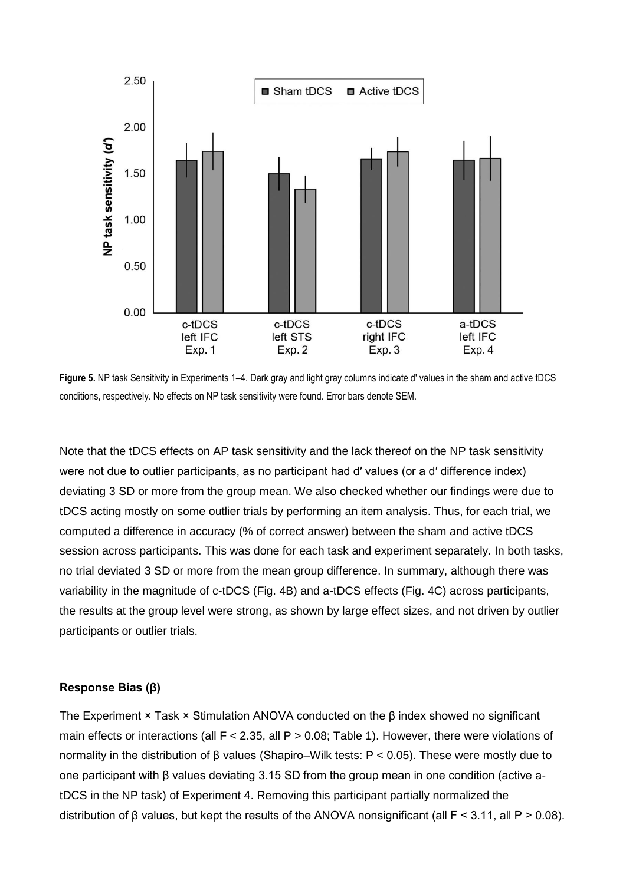

**Figure 5.** NP task Sensitivity in Experiments 1–4. Dark gray and light gray columns indicate d′ values in the sham and active tDCS conditions, respectively. No effects on NP task sensitivity were found. Error bars denote SEM.

Note that the tDCS effects on AP task sensitivity and the lack thereof on the NP task sensitivity were not due to outlier participants, as no participant had d' values (or a d' difference index) deviating 3 SD or more from the group mean. We also checked whether our findings were due to tDCS acting mostly on some outlier trials by performing an item analysis. Thus, for each trial, we computed a difference in accuracy (% of correct answer) between the sham and active tDCS session across participants. This was done for each task and experiment separately. In both tasks, no trial deviated 3 SD or more from the mean group difference. In summary, although there was variability in the magnitude of c-tDCS (Fig. 4B) and a-tDCS effects (Fig. 4C) across participants, the results at the group level were strong, as shown by large effect sizes, and not driven by outlier participants or outlier trials.

#### **Response Bias (β)**

The Experiment  $\times$  Task  $\times$  Stimulation ANOVA conducted on the  $\beta$  index showed no significant main effects or interactions (all  $F < 2.35$ , all  $P > 0.08$ ; Table 1). However, there were violations of normality in the distribution of β values (Shapiro–Wilk tests: P < 0.05). These were mostly due to one participant with β values deviating 3.15 SD from the group mean in one condition (active atDCS in the NP task) of Experiment 4. Removing this participant partially normalized the distribution of β values, but kept the results of the ANOVA nonsignificant (all F < 3.11, all P > 0.08).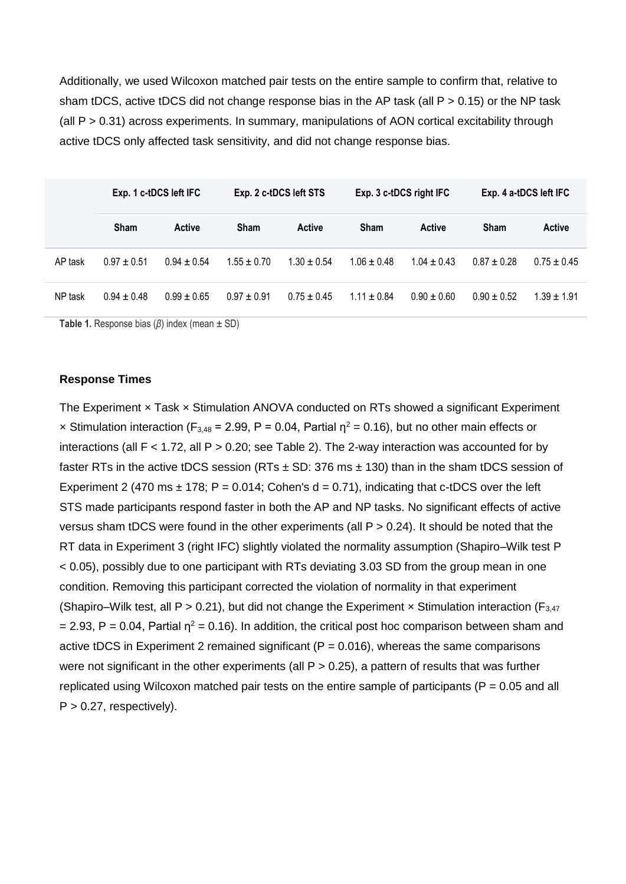Additionally, we used Wilcoxon matched pair tests on the entire sample to confirm that, relative to sham tDCS, active tDCS did not change response bias in the AP task (all P > 0.15) or the NP task (all P > 0.31) across experiments. In summary, manipulations of AON cortical excitability through active tDCS only affected task sensitivity, and did not change response bias.

|         | Exp. 1 c-tDCS left IFC |               | Exp. 2 c-tDCS left STS |               | Exp. 3 c-tDCS right IFC |                 | Exp. 4 a-tDCS left IFC |                 |
|---------|------------------------|---------------|------------------------|---------------|-------------------------|-----------------|------------------------|-----------------|
|         | <b>Sham</b>            | <b>Active</b> | <b>Sham</b>            | <b>Active</b> | <b>Sham</b>             | <b>Active</b>   | <b>Sham</b>            | <b>Active</b>   |
| AP task | $0.97 \pm 0.51$        | $0.94 + 0.54$ | $1.55 + 0.70$          | $1.30 + 0.54$ | $1.06 + 0.48$           | $1.04 \pm 0.43$ | $0.87 + 0.28$          | $0.75 \pm 0.45$ |
| NP task | $0.94 + 0.48$          | $0.99 + 0.65$ | $0.97 + 0.91$          | $0.75 + 0.45$ | $1.11 \pm 0.84$         | $0.90 + 0.60$   | $0.90 + 0.52$          | $1.39 + 1.91$   |

**Table 1.** Response bias (*β*) index (mean ± SD)

#### **Response Times**

The Experiment x Task x Stimulation ANOVA conducted on RTs showed a significant Experiment x Stimulation interaction (F<sub>3,48</sub> = 2.99, P = 0.04, Partial  $\eta^2$  = 0.16), but no other main effects or interactions (all  $F < 1.72$ , all  $P > 0.20$ ; see Table 2). The 2-way interaction was accounted for by faster RTs in the active tDCS session (RTs  $\pm$  SD: 376 ms  $\pm$  130) than in the sham tDCS session of Experiment 2 (470 ms  $\pm$  178; P = 0.014; Cohen's d = 0.71), indicating that c-tDCS over the left STS made participants respond faster in both the AP and NP tasks. No significant effects of active versus sham tDCS were found in the other experiments (all P > 0.24). It should be noted that the RT data in Experiment 3 (right IFC) slightly violated the normality assumption (Shapiro–Wilk test P < 0.05), possibly due to one participant with RTs deviating 3.03 SD from the group mean in one condition. Removing this participant corrected the violation of normality in that experiment (Shapiro–Wilk test, all P > 0.21), but did not change the Experiment  $\times$  Stimulation interaction (F<sub>3.47</sub>)  $= 2.93$ , P = 0.04, Partial  $\eta^2 = 0.16$ ). In addition, the critical post hoc comparison between sham and active tDCS in Experiment 2 remained significant ( $P = 0.016$ ), whereas the same comparisons were not significant in the other experiments (all  $P > 0.25$ ), a pattern of results that was further replicated using Wilcoxon matched pair tests on the entire sample of participants ( $P = 0.05$  and all  $P > 0.27$ , respectively).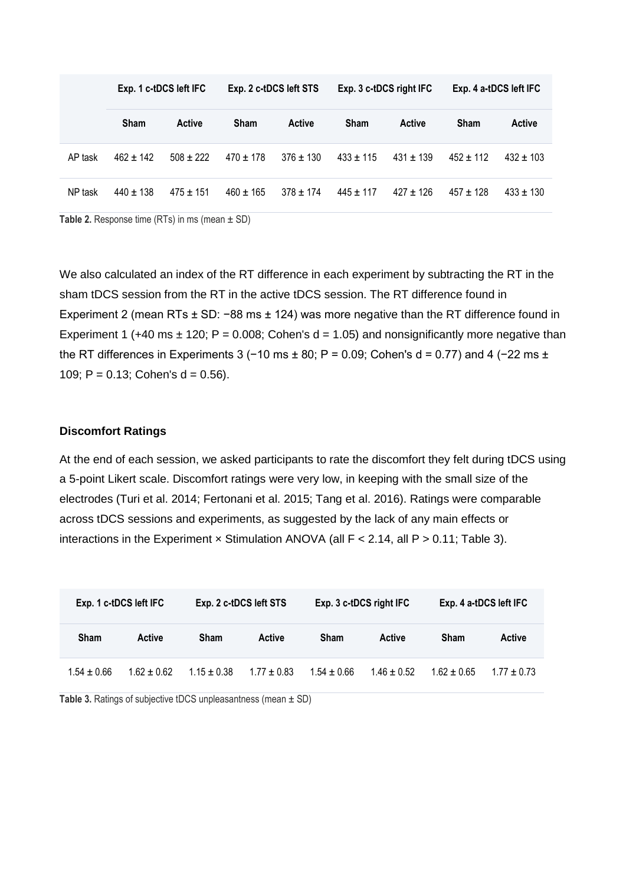|         | Exp. 1 c-tDCS left IFC |             | Exp. 2 c-tDCS left STS |               | Exp. 3 c-tDCS right IFC |               | Exp. 4 a-tDCS left IFC |               |
|---------|------------------------|-------------|------------------------|---------------|-------------------------|---------------|------------------------|---------------|
|         | <b>Sham</b>            | Active      | <b>Sham</b>            | <b>Active</b> | <b>Sham</b>             | <b>Active</b> | <b>Sham</b>            | <b>Active</b> |
| AP task | $462 + 142$            | $508 + 222$ | $470 \pm 178$          | $376 + 130$   | $433 + 115$             | $431 + 139$   | $452 + 112$            | $432 \pm 103$ |
| NP task | $440 + 138$            | $475 + 151$ | $460 \pm 165$          | $378 + 174$   | $445 \pm 117$           | $427 + 126$   | $457 + 128$            | $433 \pm 130$ |

**Table 2.** Response time (RTs) in ms (mean  $\pm$  SD)

We also calculated an index of the RT difference in each experiment by subtracting the RT in the sham tDCS session from the RT in the active tDCS session. The RT difference found in Experiment 2 (mean RTs ± SD: −88 ms ± 124) was more negative than the RT difference found in Experiment 1 (+40 ms  $\pm$  120; P = 0.008; Cohen's d = 1.05) and nonsignificantly more negative than the RT differences in Experiments 3 (−10 ms  $\pm$  80; P = 0.09; Cohen's d = 0.77) and 4 (−22 ms  $\pm$ 109; P =  $0.13$ ; Cohen's d =  $0.56$ ).

#### **Discomfort Ratings**

At the end of each session, we asked participants to rate the discomfort they felt during tDCS using a 5-point Likert scale. Discomfort ratings were very low, in keeping with the small size of the electrodes (Turi et al. 2014; Fertonani et al. 2015; Tang et al. 2016). Ratings were comparable across tDCS sessions and experiments, as suggested by the lack of any main effects or interactions in the Experiment  $\times$  Stimulation ANOVA (all  $F < 2.14$ , all  $P > 0.11$ ; Table 3).

| Exp. 1 c-tDCS left IFC |               |                 | Exp. 2 c-tDCS left STS |               | Exp. 3 c-tDCS right IFC |               | Exp. 4 a-tDCS left IFC |  |
|------------------------|---------------|-----------------|------------------------|---------------|-------------------------|---------------|------------------------|--|
| Sham                   | <b>Active</b> | Sham            | Active                 | <b>Sham</b>   | Active                  | Sham          | <b>Active</b>          |  |
| $1.54 \pm 0.66$        | $1.62 + 0.62$ | $1.15 \pm 0.38$ | $1.77 \pm 0.83$        | $1.54 + 0.66$ | $1.46 \pm 0.52$         | $1.62 + 0.65$ | $1.77 \pm 0.73$        |  |

**Table 3.** Ratings of subjective tDCS unpleasantness (mean ± SD)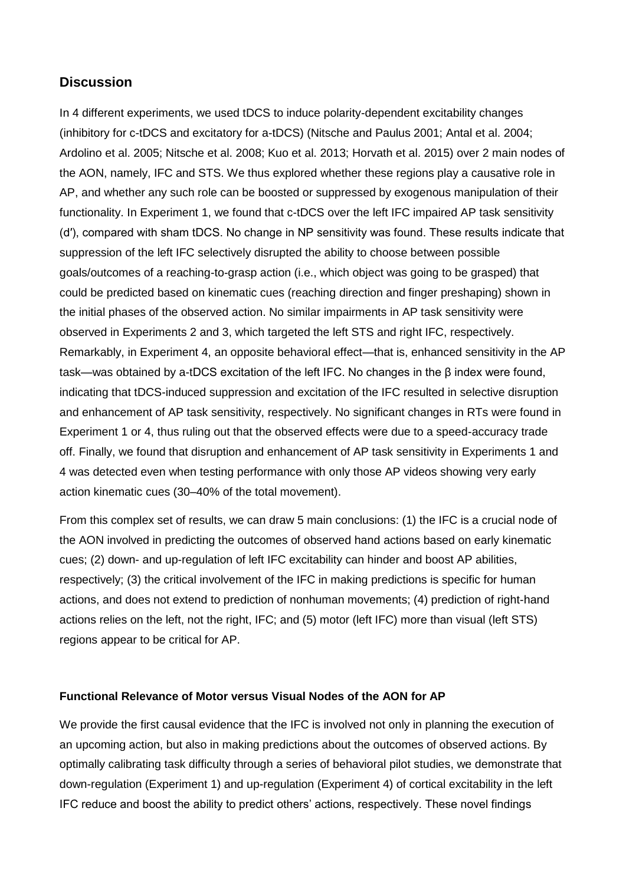# **Discussion**

In 4 different experiments, we used tDCS to induce polarity-dependent excitability changes (inhibitory for c-tDCS and excitatory for a-tDCS) (Nitsche and Paulus 2001; Antal et al. 2004; Ardolino et al. 2005; Nitsche et al. 2008; Kuo et al. 2013; Horvath et al. 2015) over 2 main nodes of the AON, namely, IFC and STS. We thus explored whether these regions play a causative role in AP, and whether any such role can be boosted or suppressed by exogenous manipulation of their functionality. In Experiment 1, we found that c-tDCS over the left IFC impaired AP task sensitivity (d′), compared with sham tDCS. No change in NP sensitivity was found. These results indicate that suppression of the left IFC selectively disrupted the ability to choose between possible goals/outcomes of a reaching-to-grasp action (i.e., which object was going to be grasped) that could be predicted based on kinematic cues (reaching direction and finger preshaping) shown in the initial phases of the observed action. No similar impairments in AP task sensitivity were observed in Experiments 2 and 3, which targeted the left STS and right IFC, respectively. Remarkably, in Experiment 4, an opposite behavioral effect—that is, enhanced sensitivity in the AP task—was obtained by a-tDCS excitation of the left IFC. No changes in the β index were found, indicating that tDCS-induced suppression and excitation of the IFC resulted in selective disruption and enhancement of AP task sensitivity, respectively. No significant changes in RTs were found in Experiment 1 or 4, thus ruling out that the observed effects were due to a speed-accuracy trade off. Finally, we found that disruption and enhancement of AP task sensitivity in Experiments 1 and 4 was detected even when testing performance with only those AP videos showing very early action kinematic cues (30–40% of the total movement).

From this complex set of results, we can draw 5 main conclusions: (1) the IFC is a crucial node of the AON involved in predicting the outcomes of observed hand actions based on early kinematic cues; (2) down- and up-regulation of left IFC excitability can hinder and boost AP abilities, respectively; (3) the critical involvement of the IFC in making predictions is specific for human actions, and does not extend to prediction of nonhuman movements; (4) prediction of right-hand actions relies on the left, not the right, IFC; and (5) motor (left IFC) more than visual (left STS) regions appear to be critical for AP.

#### **Functional Relevance of Motor versus Visual Nodes of the AON for AP**

We provide the first causal evidence that the IFC is involved not only in planning the execution of an upcoming action, but also in making predictions about the outcomes of observed actions. By optimally calibrating task difficulty through a series of behavioral pilot studies, we demonstrate that down-regulation (Experiment 1) and up-regulation (Experiment 4) of cortical excitability in the left IFC reduce and boost the ability to predict others' actions, respectively. These novel findings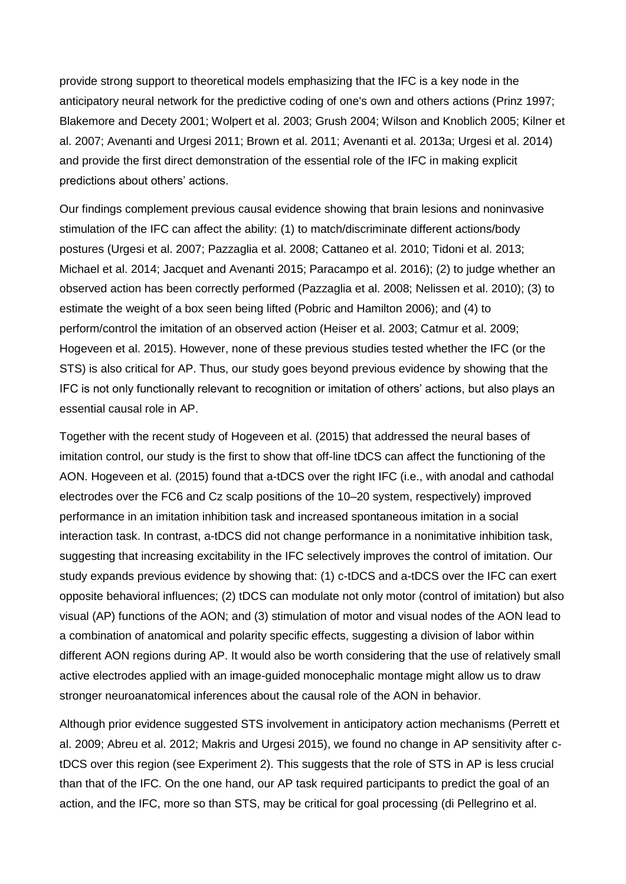provide strong support to theoretical models emphasizing that the IFC is a key node in the anticipatory neural network for the predictive coding of one's own and others actions (Prinz 1997; Blakemore and Decety 2001; Wolpert et al. 2003; Grush 2004; Wilson and Knoblich 2005; Kilner et al. 2007; Avenanti and Urgesi 2011; Brown et al. 2011; Avenanti et al. 2013a; Urgesi et al. 2014) and provide the first direct demonstration of the essential role of the IFC in making explicit predictions about others' actions.

Our findings complement previous causal evidence showing that brain lesions and noninvasive stimulation of the IFC can affect the ability: (1) to match/discriminate different actions/body postures (Urgesi et al. 2007; Pazzaglia et al. 2008; Cattaneo et al. 2010; Tidoni et al. 2013; Michael et al. 2014; Jacquet and Avenanti 2015; Paracampo et al. 2016); (2) to judge whether an observed action has been correctly performed (Pazzaglia et al. 2008; Nelissen et al. 2010); (3) to estimate the weight of a box seen being lifted (Pobric and Hamilton 2006); and (4) to perform/control the imitation of an observed action (Heiser et al. 2003; Catmur et al. 2009; Hogeveen et al. 2015). However, none of these previous studies tested whether the IFC (or the STS) is also critical for AP. Thus, our study goes beyond previous evidence by showing that the IFC is not only functionally relevant to recognition or imitation of others' actions, but also plays an essential causal role in AP.

Together with the recent study of Hogeveen et al. (2015) that addressed the neural bases of imitation control, our study is the first to show that off-line tDCS can affect the functioning of the AON. Hogeveen et al. (2015) found that a-tDCS over the right IFC (i.e., with anodal and cathodal electrodes over the FC6 and Cz scalp positions of the 10–20 system, respectively) improved performance in an imitation inhibition task and increased spontaneous imitation in a social interaction task. In contrast, a-tDCS did not change performance in a nonimitative inhibition task, suggesting that increasing excitability in the IFC selectively improves the control of imitation. Our study expands previous evidence by showing that: (1) c-tDCS and a-tDCS over the IFC can exert opposite behavioral influences; (2) tDCS can modulate not only motor (control of imitation) but also visual (AP) functions of the AON; and (3) stimulation of motor and visual nodes of the AON lead to a combination of anatomical and polarity specific effects, suggesting a division of labor within different AON regions during AP. It would also be worth considering that the use of relatively small active electrodes applied with an image-guided monocephalic montage might allow us to draw stronger neuroanatomical inferences about the causal role of the AON in behavior.

Although prior evidence suggested STS involvement in anticipatory action mechanisms (Perrett et al. 2009; Abreu et al. 2012; Makris and Urgesi 2015), we found no change in AP sensitivity after ctDCS over this region (see Experiment 2). This suggests that the role of STS in AP is less crucial than that of the IFC. On the one hand, our AP task required participants to predict the goal of an action, and the IFC, more so than STS, may be critical for goal processing (di Pellegrino et al.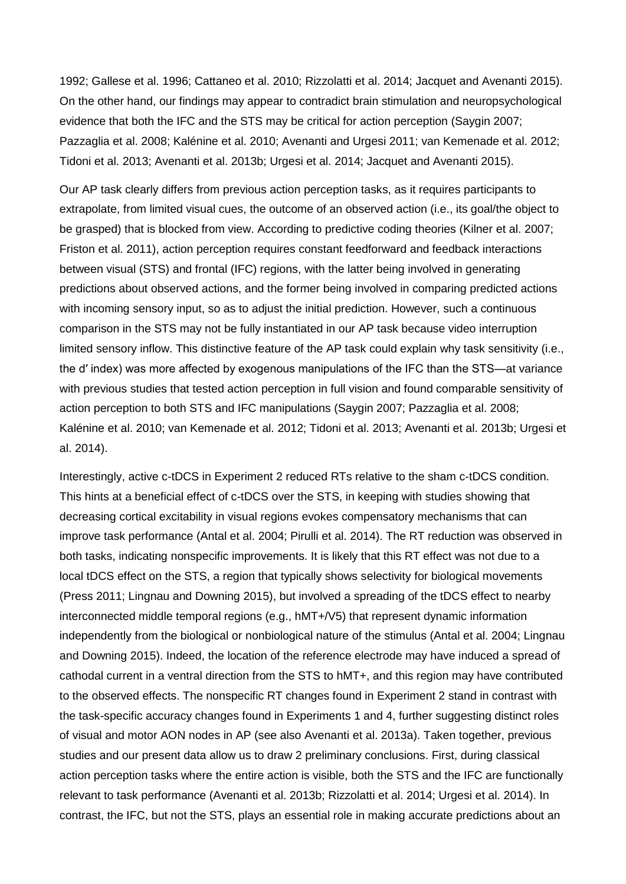1992; Gallese et al. 1996; Cattaneo et al. 2010; Rizzolatti et al. 2014; Jacquet and Avenanti 2015). On the other hand, our findings may appear to contradict brain stimulation and neuropsychological evidence that both the IFC and the STS may be critical for action perception (Saygin 2007; Pazzaglia et al. 2008; Kalénine et al. 2010; Avenanti and Urgesi 2011; van Kemenade et al. 2012; Tidoni et al. 2013; Avenanti et al. 2013b; Urgesi et al. 2014; Jacquet and Avenanti 2015).

Our AP task clearly differs from previous action perception tasks, as it requires participants to extrapolate, from limited visual cues, the outcome of an observed action (i.e., its goal/the object to be grasped) that is blocked from view. According to predictive coding theories (Kilner et al. 2007; Friston et al. 2011), action perception requires constant feedforward and feedback interactions between visual (STS) and frontal (IFC) regions, with the latter being involved in generating predictions about observed actions, and the former being involved in comparing predicted actions with incoming sensory input, so as to adjust the initial prediction. However, such a continuous comparison in the STS may not be fully instantiated in our AP task because video interruption limited sensory inflow. This distinctive feature of the AP task could explain why task sensitivity (i.e., the d′ index) was more affected by exogenous manipulations of the IFC than the STS—at variance with previous studies that tested action perception in full vision and found comparable sensitivity of action perception to both STS and IFC manipulations (Saygin 2007; Pazzaglia et al. 2008; Kalénine et al. 2010; van Kemenade et al. 2012; Tidoni et al. 2013; Avenanti et al. 2013b; Urgesi et al. 2014).

Interestingly, active c-tDCS in Experiment 2 reduced RTs relative to the sham c-tDCS condition. This hints at a beneficial effect of c-tDCS over the STS, in keeping with studies showing that decreasing cortical excitability in visual regions evokes compensatory mechanisms that can improve task performance (Antal et al. 2004; Pirulli et al. 2014). The RT reduction was observed in both tasks, indicating nonspecific improvements. It is likely that this RT effect was not due to a local tDCS effect on the STS, a region that typically shows selectivity for biological movements (Press 2011; Lingnau and Downing 2015), but involved a spreading of the tDCS effect to nearby interconnected middle temporal regions (e.g., hMT+/V5) that represent dynamic information independently from the biological or nonbiological nature of the stimulus (Antal et al. 2004; Lingnau and Downing 2015). Indeed, the location of the reference electrode may have induced a spread of cathodal current in a ventral direction from the STS to hMT+, and this region may have contributed to the observed effects. The nonspecific RT changes found in Experiment 2 stand in contrast with the task-specific accuracy changes found in Experiments 1 and 4, further suggesting distinct roles of visual and motor AON nodes in AP (see also Avenanti et al. 2013a). Taken together, previous studies and our present data allow us to draw 2 preliminary conclusions. First, during classical action perception tasks where the entire action is visible, both the STS and the IFC are functionally relevant to task performance (Avenanti et al. 2013b; Rizzolatti et al. 2014; Urgesi et al. 2014). In contrast, the IFC, but not the STS, plays an essential role in making accurate predictions about an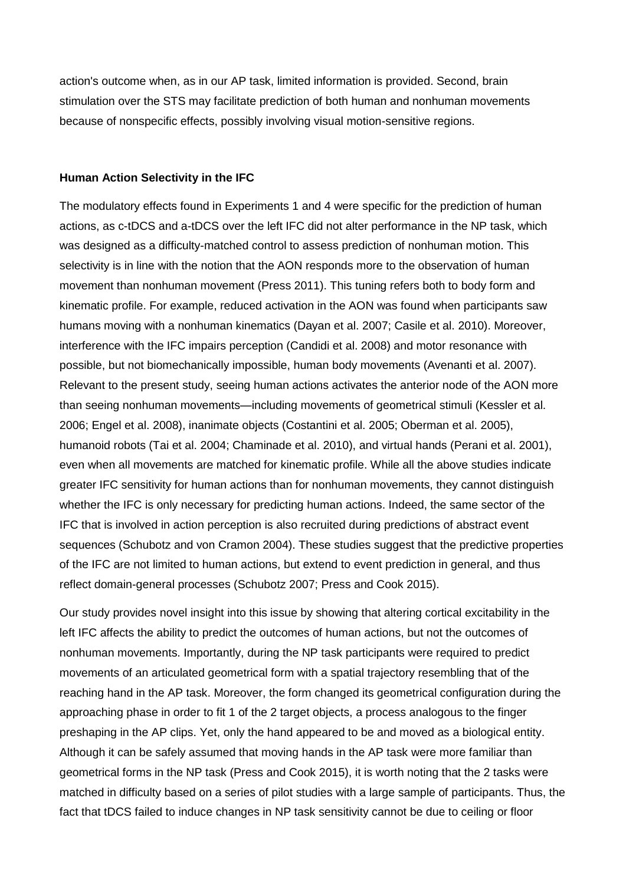action's outcome when, as in our AP task, limited information is provided. Second, brain stimulation over the STS may facilitate prediction of both human and nonhuman movements because of nonspecific effects, possibly involving visual motion-sensitive regions.

#### **Human Action Selectivity in the IFC**

The modulatory effects found in Experiments 1 and 4 were specific for the prediction of human actions, as c-tDCS and a-tDCS over the left IFC did not alter performance in the NP task, which was designed as a difficulty-matched control to assess prediction of nonhuman motion. This selectivity is in line with the notion that the AON responds more to the observation of human movement than nonhuman movement (Press 2011). This tuning refers both to body form and kinematic profile. For example, reduced activation in the AON was found when participants saw humans moving with a nonhuman kinematics (Dayan et al. 2007; Casile et al. 2010). Moreover, interference with the IFC impairs perception (Candidi et al. 2008) and motor resonance with possible, but not biomechanically impossible, human body movements (Avenanti et al. 2007). Relevant to the present study, seeing human actions activates the anterior node of the AON more than seeing nonhuman movements—including movements of geometrical stimuli (Kessler et al. 2006; Engel et al. 2008), inanimate objects (Costantini et al. 2005; Oberman et al. 2005), humanoid robots (Tai et al. 2004; Chaminade et al. 2010), and virtual hands (Perani et al. 2001), even when all movements are matched for kinematic profile. While all the above studies indicate greater IFC sensitivity for human actions than for nonhuman movements, they cannot distinguish whether the IFC is only necessary for predicting human actions. Indeed, the same sector of the IFC that is involved in action perception is also recruited during predictions of abstract event sequences (Schubotz and von Cramon 2004). These studies suggest that the predictive properties of the IFC are not limited to human actions, but extend to event prediction in general, and thus reflect domain-general processes (Schubotz 2007; Press and Cook 2015).

Our study provides novel insight into this issue by showing that altering cortical excitability in the left IFC affects the ability to predict the outcomes of human actions, but not the outcomes of nonhuman movements. Importantly, during the NP task participants were required to predict movements of an articulated geometrical form with a spatial trajectory resembling that of the reaching hand in the AP task. Moreover, the form changed its geometrical configuration during the approaching phase in order to fit 1 of the 2 target objects, a process analogous to the finger preshaping in the AP clips. Yet, only the hand appeared to be and moved as a biological entity. Although it can be safely assumed that moving hands in the AP task were more familiar than geometrical forms in the NP task (Press and Cook 2015), it is worth noting that the 2 tasks were matched in difficulty based on a series of pilot studies with a large sample of participants. Thus, the fact that tDCS failed to induce changes in NP task sensitivity cannot be due to ceiling or floor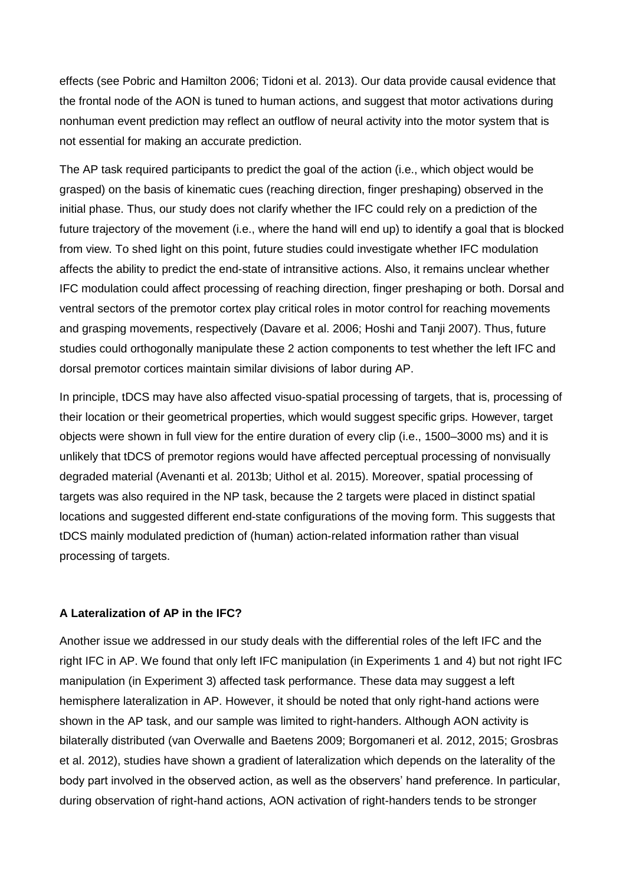effects (see Pobric and Hamilton 2006; Tidoni et al. 2013). Our data provide causal evidence that the frontal node of the AON is tuned to human actions, and suggest that motor activations during nonhuman event prediction may reflect an outflow of neural activity into the motor system that is not essential for making an accurate prediction.

The AP task required participants to predict the goal of the action (i.e., which object would be grasped) on the basis of kinematic cues (reaching direction, finger preshaping) observed in the initial phase. Thus, our study does not clarify whether the IFC could rely on a prediction of the future trajectory of the movement (i.e., where the hand will end up) to identify a goal that is blocked from view. To shed light on this point, future studies could investigate whether IFC modulation affects the ability to predict the end-state of intransitive actions. Also, it remains unclear whether IFC modulation could affect processing of reaching direction, finger preshaping or both. Dorsal and ventral sectors of the premotor cortex play critical roles in motor control for reaching movements and grasping movements, respectively (Davare et al. 2006; Hoshi and Tanji 2007). Thus, future studies could orthogonally manipulate these 2 action components to test whether the left IFC and dorsal premotor cortices maintain similar divisions of labor during AP.

In principle, tDCS may have also affected visuo-spatial processing of targets, that is, processing of their location or their geometrical properties, which would suggest specific grips. However, target objects were shown in full view for the entire duration of every clip (i.e., 1500–3000 ms) and it is unlikely that tDCS of premotor regions would have affected perceptual processing of nonvisually degraded material (Avenanti et al. 2013b; Uithol et al. 2015). Moreover, spatial processing of targets was also required in the NP task, because the 2 targets were placed in distinct spatial locations and suggested different end-state configurations of the moving form. This suggests that tDCS mainly modulated prediction of (human) action-related information rather than visual processing of targets.

#### **A Lateralization of AP in the IFC?**

Another issue we addressed in our study deals with the differential roles of the left IFC and the right IFC in AP. We found that only left IFC manipulation (in Experiments 1 and 4) but not right IFC manipulation (in Experiment 3) affected task performance. These data may suggest a left hemisphere lateralization in AP. However, it should be noted that only right-hand actions were shown in the AP task, and our sample was limited to right-handers. Although AON activity is bilaterally distributed (van Overwalle and Baetens 2009; Borgomaneri et al. 2012, 2015; Grosbras et al. 2012), studies have shown a gradient of lateralization which depends on the laterality of the body part involved in the observed action, as well as the observers' hand preference. In particular, during observation of right-hand actions, AON activation of right-handers tends to be stronger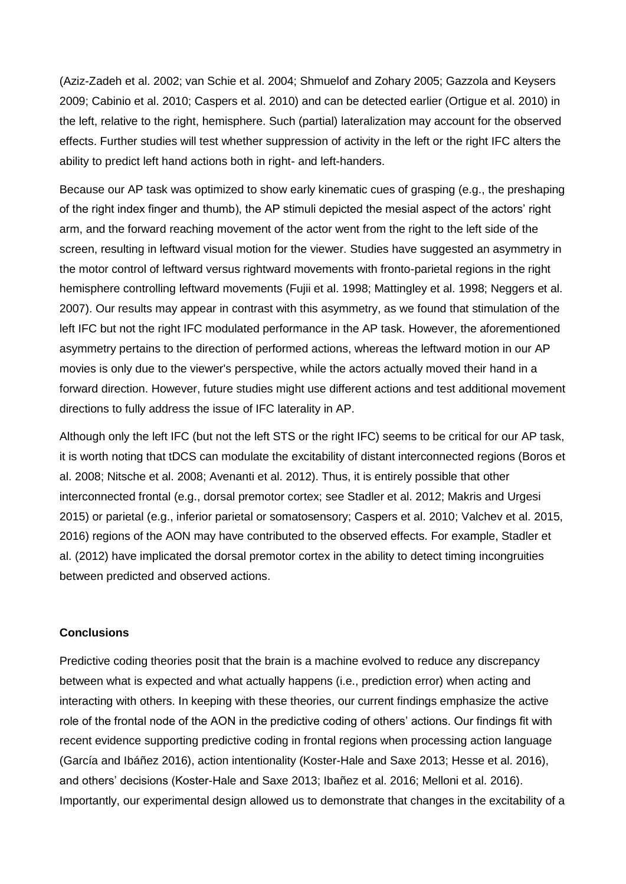(Aziz-Zadeh et al. 2002; van Schie et al. 2004; Shmuelof and Zohary 2005; Gazzola and Keysers 2009; Cabinio et al. 2010; Caspers et al. 2010) and can be detected earlier (Ortigue et al. 2010) in the left, relative to the right, hemisphere. Such (partial) lateralization may account for the observed effects. Further studies will test whether suppression of activity in the left or the right IFC alters the ability to predict left hand actions both in right- and left-handers.

Because our AP task was optimized to show early kinematic cues of grasping (e.g., the preshaping of the right index finger and thumb), the AP stimuli depicted the mesial aspect of the actors' right arm, and the forward reaching movement of the actor went from the right to the left side of the screen, resulting in leftward visual motion for the viewer. Studies have suggested an asymmetry in the motor control of leftward versus rightward movements with fronto-parietal regions in the right hemisphere controlling leftward movements (Fujii et al. 1998; Mattingley et al. 1998; Neggers et al. 2007). Our results may appear in contrast with this asymmetry, as we found that stimulation of the left IFC but not the right IFC modulated performance in the AP task. However, the aforementioned asymmetry pertains to the direction of performed actions, whereas the leftward motion in our AP movies is only due to the viewer's perspective, while the actors actually moved their hand in a forward direction. However, future studies might use different actions and test additional movement directions to fully address the issue of IFC laterality in AP.

Although only the left IFC (but not the left STS or the right IFC) seems to be critical for our AP task, it is worth noting that tDCS can modulate the excitability of distant interconnected regions (Boros et al. 2008; Nitsche et al. 2008; Avenanti et al. 2012). Thus, it is entirely possible that other interconnected frontal (e.g., dorsal premotor cortex; see Stadler et al. 2012; Makris and Urgesi 2015) or parietal (e.g., inferior parietal or somatosensory; Caspers et al. 2010; Valchev et al. 2015, 2016) regions of the AON may have contributed to the observed effects. For example, Stadler et al. (2012) have implicated the dorsal premotor cortex in the ability to detect timing incongruities between predicted and observed actions.

#### **Conclusions**

Predictive coding theories posit that the brain is a machine evolved to reduce any discrepancy between what is expected and what actually happens (i.e., prediction error) when acting and interacting with others. In keeping with these theories, our current findings emphasize the active role of the frontal node of the AON in the predictive coding of others' actions. Our findings fit with recent evidence supporting predictive coding in frontal regions when processing action language (García and Ibáñez 2016), action intentionality (Koster-Hale and Saxe 2013; Hesse et al. 2016), and others' decisions (Koster-Hale and Saxe 2013; Ibañez et al. 2016; Melloni et al. 2016). Importantly, our experimental design allowed us to demonstrate that changes in the excitability of a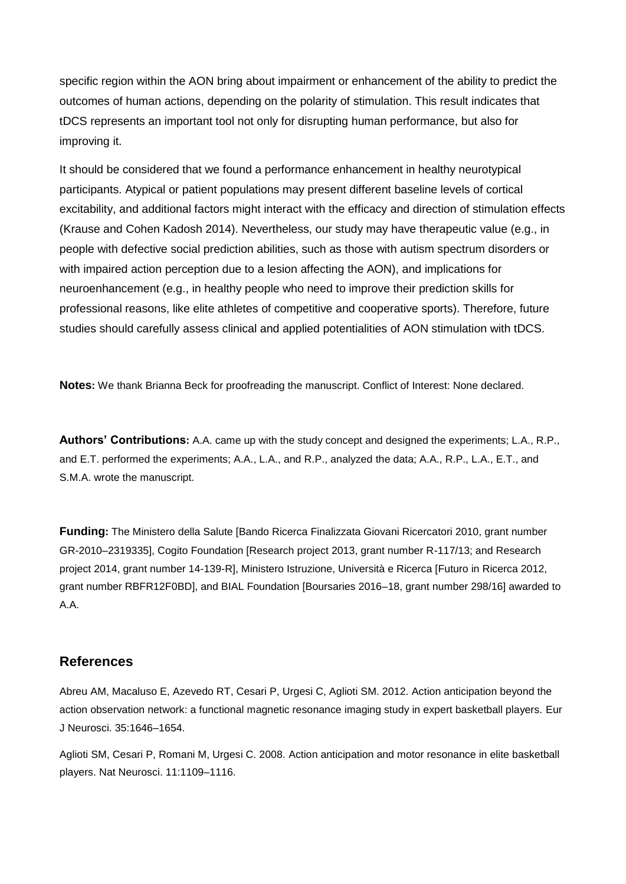specific region within the AON bring about impairment or enhancement of the ability to predict the outcomes of human actions, depending on the polarity of stimulation. This result indicates that tDCS represents an important tool not only for disrupting human performance, but also for improving it.

It should be considered that we found a performance enhancement in healthy neurotypical participants. Atypical or patient populations may present different baseline levels of cortical excitability, and additional factors might interact with the efficacy and direction of stimulation effects (Krause and Cohen Kadosh 2014). Nevertheless, our study may have therapeutic value (e.g., in people with defective social prediction abilities, such as those with autism spectrum disorders or with impaired action perception due to a lesion affecting the AON), and implications for neuroenhancement (e.g., in healthy people who need to improve their prediction skills for professional reasons, like elite athletes of competitive and cooperative sports). Therefore, future studies should carefully assess clinical and applied potentialities of AON stimulation with tDCS.

**Notes:** We thank Brianna Beck for proofreading the manuscript. Conflict of Interest: None declared.

**Authors' Contributions:** A.A. came up with the study concept and designed the experiments; L.A., R.P., and E.T. performed the experiments; A.A., L.A., and R.P., analyzed the data; A.A., R.P., L.A., E.T., and S.M.A. wrote the manuscript.

**Funding:** The Ministero della Salute [Bando Ricerca Finalizzata Giovani Ricercatori 2010, grant number GR-2010–2319335], Cogito Foundation [Research project 2013, grant number R-117/13; and Research project 2014, grant number 14-139-R], Ministero Istruzione, Università e Ricerca [Futuro in Ricerca 2012, grant number RBFR12F0BD], and BIAL Foundation [Boursaries 2016–18, grant number 298/16] awarded to A.A.

# **References**

Abreu AM, Macaluso E, Azevedo RT, Cesari P, Urgesi C, Aglioti SM. 2012. Action anticipation beyond the action observation network: a functional magnetic resonance imaging study in expert basketball players. Eur J Neurosci. 35:1646–1654.

Aglioti SM, Cesari P, Romani M, Urgesi C. 2008. Action anticipation and motor resonance in elite basketball players. Nat Neurosci. 11:1109–1116.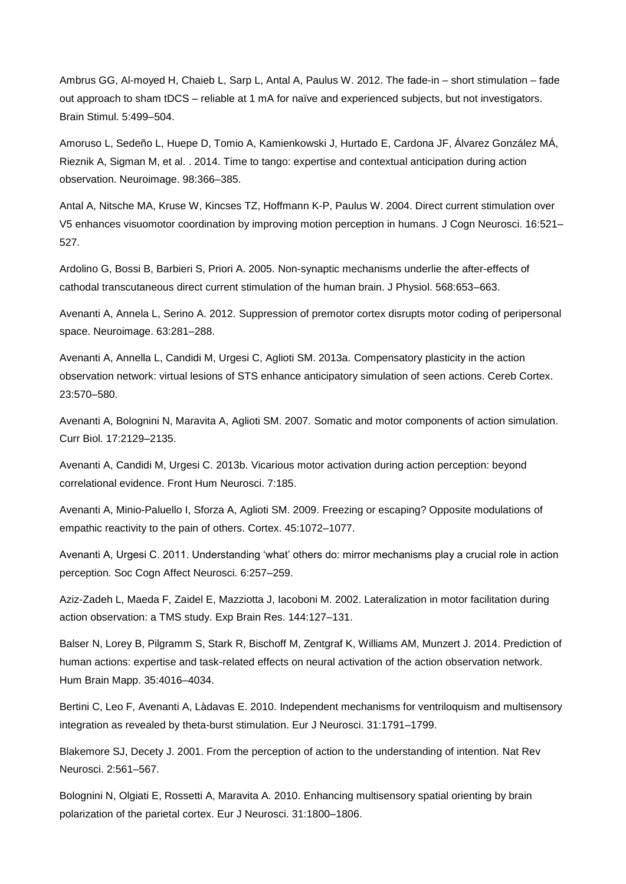Ambrus GG, Al-moyed H, Chaieb L, Sarp L, Antal A, Paulus W. 2012. The fade-in – short stimulation – fade out approach to sham tDCS – reliable at 1 mA for naïve and experienced subjects, but not investigators. Brain Stimul. 5:499–504.

Amoruso L, Sedeño L, Huepe D, Tomio A, Kamienkowski J, Hurtado E, Cardona JF, Álvarez González MÁ, Rieznik A, Sigman M, et al. . 2014. Time to tango: expertise and contextual anticipation during action observation. Neuroimage. 98:366–385.

Antal A, Nitsche MA, Kruse W, Kincses TZ, Hoffmann K-P, Paulus W. 2004. Direct current stimulation over V5 enhances visuomotor coordination by improving motion perception in humans. J Cogn Neurosci. 16:521– 527.

Ardolino G, Bossi B, Barbieri S, Priori A. 2005. Non-synaptic mechanisms underlie the after-effects of cathodal transcutaneous direct current stimulation of the human brain. J Physiol. 568:653–663.

Avenanti A, Annela L, Serino A. 2012. Suppression of premotor cortex disrupts motor coding of peripersonal space. Neuroimage. 63:281–288.

Avenanti A, Annella L, Candidi M, Urgesi C, Aglioti SM. 2013a. Compensatory plasticity in the action observation network: virtual lesions of STS enhance anticipatory simulation of seen actions. Cereb Cortex. 23:570–580.

Avenanti A, Bolognini N, Maravita A, Aglioti SM. 2007. Somatic and motor components of action simulation. Curr Biol. 17:2129–2135.

Avenanti A, Candidi M, Urgesi C. 2013b. Vicarious motor activation during action perception: beyond correlational evidence. Front Hum Neurosci. 7:185.

Avenanti A, Minio-Paluello I, Sforza A, Aglioti SM. 2009. Freezing or escaping? Opposite modulations of empathic reactivity to the pain of others. Cortex. 45:1072–1077.

Avenanti A, Urgesi C. 2011. Understanding 'what' others do: mirror mechanisms play a crucial role in action perception. Soc Cogn Affect Neurosci. 6:257–259.

Aziz-Zadeh L, Maeda F, Zaidel E, Mazziotta J, Iacoboni M. 2002. Lateralization in motor facilitation during action observation: a TMS study. Exp Brain Res. 144:127–131.

Balser N, Lorey B, Pilgramm S, Stark R, Bischoff M, Zentgraf K, Williams AM, Munzert J. 2014. Prediction of human actions: expertise and task-related effects on neural activation of the action observation network. Hum Brain Mapp. 35:4016–4034.

Bertini C, Leo F, Avenanti A, Làdavas E. 2010. Independent mechanisms for ventriloquism and multisensory integration as revealed by theta-burst stimulation. Eur J Neurosci. 31:1791–1799.

Blakemore SJ, Decety J. 2001. From the perception of action to the understanding of intention. Nat Rev Neurosci. 2:561–567.

Bolognini N, Olgiati E, Rossetti A, Maravita A. 2010. Enhancing multisensory spatial orienting by brain polarization of the parietal cortex. Eur J Neurosci. 31:1800–1806.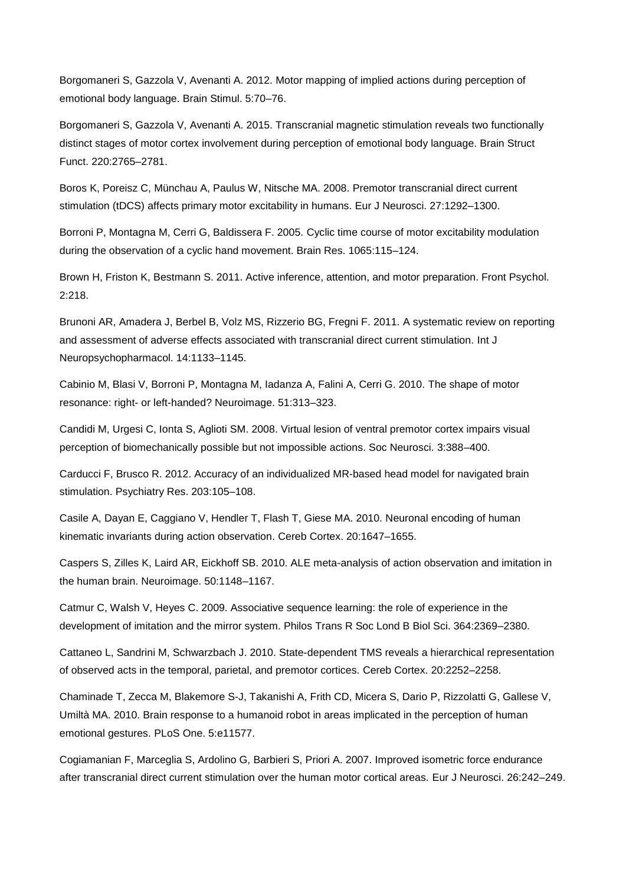Borgomaneri S, Gazzola V, Avenanti A. 2012. Motor mapping of implied actions during perception of emotional body language. Brain Stimul. 5:70–76.

Borgomaneri S, Gazzola V, Avenanti A. 2015. Transcranial magnetic stimulation reveals two functionally distinct stages of motor cortex involvement during perception of emotional body language. Brain Struct Funct. 220:2765–2781.

Boros K, Poreisz C, Münchau A, Paulus W, Nitsche MA. 2008. Premotor transcranial direct current stimulation (tDCS) affects primary motor excitability in humans. Eur J Neurosci. 27:1292–1300.

Borroni P, Montagna M, Cerri G, Baldissera F. 2005. Cyclic time course of motor excitability modulation during the observation of a cyclic hand movement. Brain Res. 1065:115–124.

Brown H, Friston K, Bestmann S. 2011. Active inference, attention, and motor preparation. Front Psychol. 2:218.

Brunoni AR, Amadera J, Berbel B, Volz MS, Rizzerio BG, Fregni F. 2011. A systematic review on reporting and assessment of adverse effects associated with transcranial direct current stimulation. Int J Neuropsychopharmacol. 14:1133–1145.

Cabinio M, Blasi V, Borroni P, Montagna M, Iadanza A, Falini A, Cerri G. 2010. The shape of motor resonance: right- or left-handed? Neuroimage. 51:313–323.

Candidi M, Urgesi C, Ionta S, Aglioti SM. 2008. Virtual lesion of ventral premotor cortex impairs visual perception of biomechanically possible but not impossible actions. Soc Neurosci. 3:388–400.

Carducci F, Brusco R. 2012. Accuracy of an individualized MR-based head model for navigated brain stimulation. Psychiatry Res. 203:105–108.

Casile A, Dayan E, Caggiano V, Hendler T, Flash T, Giese MA. 2010. Neuronal encoding of human kinematic invariants during action observation. Cereb Cortex. 20:1647–1655.

Caspers S, Zilles K, Laird AR, Eickhoff SB. 2010. ALE meta-analysis of action observation and imitation in the human brain. Neuroimage. 50:1148–1167.

Catmur C, Walsh V, Heyes C. 2009. Associative sequence learning: the role of experience in the development of imitation and the mirror system. Philos Trans R Soc Lond B Biol Sci. 364:2369–2380.

Cattaneo L, Sandrini M, Schwarzbach J. 2010. State-dependent TMS reveals a hierarchical representation of observed acts in the temporal, parietal, and premotor cortices. Cereb Cortex. 20:2252–2258.

Chaminade T, Zecca M, Blakemore S-J, Takanishi A, Frith CD, Micera S, Dario P, Rizzolatti G, Gallese V, Umiltà MA. 2010. Brain response to a humanoid robot in areas implicated in the perception of human emotional gestures. PLoS One. 5:e11577.

Cogiamanian F, Marceglia S, Ardolino G, Barbieri S, Priori A. 2007. Improved isometric force endurance after transcranial direct current stimulation over the human motor cortical areas. Eur J Neurosci. 26:242–249.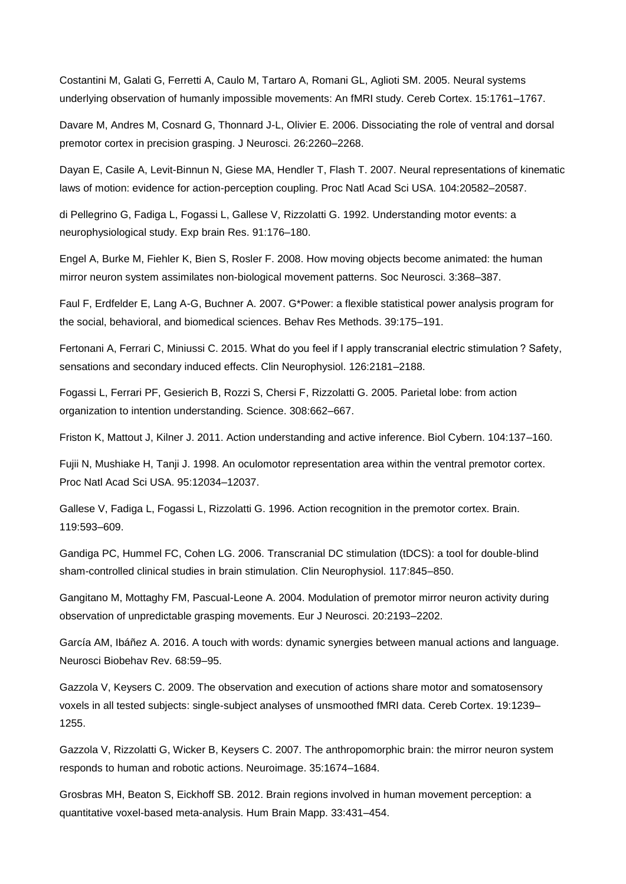Costantini M, Galati G, Ferretti A, Caulo M, Tartaro A, Romani GL, Aglioti SM. 2005. Neural systems underlying observation of humanly impossible movements: An fMRI study. Cereb Cortex. 15:1761–1767.

Davare M, Andres M, Cosnard G, Thonnard J-L, Olivier E. 2006. Dissociating the role of ventral and dorsal premotor cortex in precision grasping. J Neurosci. 26:2260–2268.

Dayan E, Casile A, Levit-Binnun N, Giese MA, Hendler T, Flash T. 2007. Neural representations of kinematic laws of motion: evidence for action-perception coupling. Proc Natl Acad Sci USA. 104:20582–20587.

di Pellegrino G, Fadiga L, Fogassi L, Gallese V, Rizzolatti G. 1992. Understanding motor events: a neurophysiological study. Exp brain Res. 91:176–180.

Engel A, Burke M, Fiehler K, Bien S, Rosler F. 2008. How moving objects become animated: the human mirror neuron system assimilates non-biological movement patterns. Soc Neurosci. 3:368–387.

Faul F, Erdfelder E, Lang A-G, Buchner A. 2007. G\*Power: a flexible statistical power analysis program for the social, behavioral, and biomedical sciences. Behav Res Methods. 39:175–191.

Fertonani A, Ferrari C, Miniussi C. 2015. What do you feel if I apply transcranial electric stimulation ? Safety, sensations and secondary induced effects. Clin Neurophysiol. 126:2181–2188.

Fogassi L, Ferrari PF, Gesierich B, Rozzi S, Chersi F, Rizzolatti G. 2005. Parietal lobe: from action organization to intention understanding. Science. 308:662–667.

Friston K, Mattout J, Kilner J. 2011. Action understanding and active inference. Biol Cybern. 104:137–160.

Fujii N, Mushiake H, Tanji J. 1998. An oculomotor representation area within the ventral premotor cortex. Proc Natl Acad Sci USA. 95:12034–12037.

Gallese V, Fadiga L, Fogassi L, Rizzolatti G. 1996. Action recognition in the premotor cortex. Brain. 119:593–609.

Gandiga PC, Hummel FC, Cohen LG. 2006. Transcranial DC stimulation (tDCS): a tool for double-blind sham-controlled clinical studies in brain stimulation. Clin Neurophysiol. 117:845–850.

Gangitano M, Mottaghy FM, Pascual-Leone A. 2004. Modulation of premotor mirror neuron activity during observation of unpredictable grasping movements. Eur J Neurosci. 20:2193–2202.

García AM, Ibáñez A. 2016. A touch with words: dynamic synergies between manual actions and language. Neurosci Biobehav Rev. 68:59–95.

Gazzola V, Keysers C. 2009. The observation and execution of actions share motor and somatosensory voxels in all tested subjects: single-subject analyses of unsmoothed fMRI data. Cereb Cortex. 19:1239– 1255.

Gazzola V, Rizzolatti G, Wicker B, Keysers C. 2007. The anthropomorphic brain: the mirror neuron system responds to human and robotic actions. Neuroimage. 35:1674–1684.

Grosbras MH, Beaton S, Eickhoff SB. 2012. Brain regions involved in human movement perception: a quantitative voxel-based meta-analysis. Hum Brain Mapp. 33:431–454.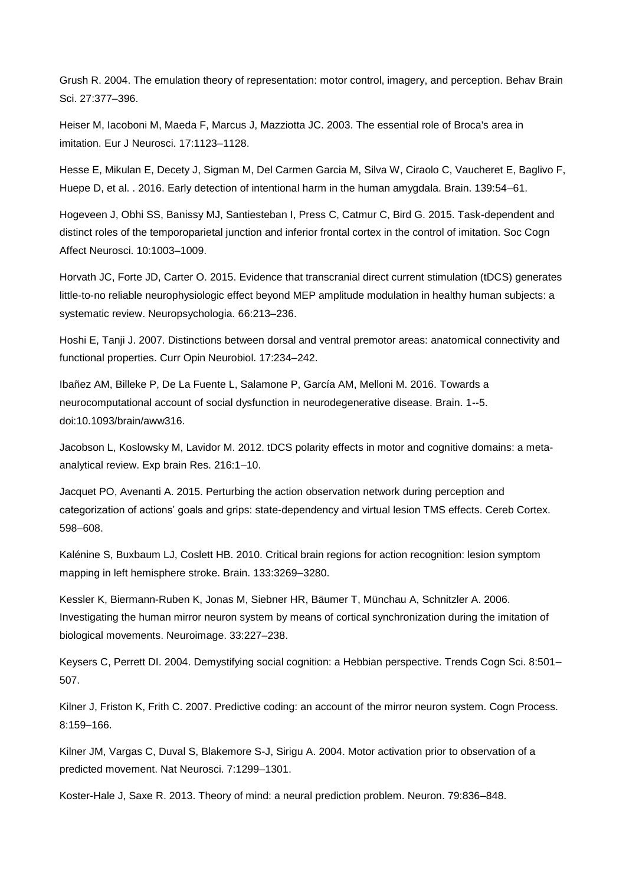Grush R. 2004. The emulation theory of representation: motor control, imagery, and perception. Behav Brain Sci. 27:377–396.

Heiser M, Iacoboni M, Maeda F, Marcus J, Mazziotta JC. 2003. The essential role of Broca's area in imitation. Eur J Neurosci. 17:1123–1128.

Hesse E, Mikulan E, Decety J, Sigman M, Del Carmen Garcia M, Silva W, Ciraolo C, Vaucheret E, Baglivo F, Huepe D, et al. . 2016. Early detection of intentional harm in the human amygdala. Brain. 139:54–61.

Hogeveen J, Obhi SS, Banissy MJ, Santiesteban I, Press C, Catmur C, Bird G. 2015. Task-dependent and distinct roles of the temporoparietal junction and inferior frontal cortex in the control of imitation. Soc Cogn Affect Neurosci. 10:1003–1009.

Horvath JC, Forte JD, Carter O. 2015. Evidence that transcranial direct current stimulation (tDCS) generates little-to-no reliable neurophysiologic effect beyond MEP amplitude modulation in healthy human subjects: a systematic review. Neuropsychologia. 66:213–236.

Hoshi E, Tanji J. 2007. Distinctions between dorsal and ventral premotor areas: anatomical connectivity and functional properties. Curr Opin Neurobiol. 17:234–242.

Ibañez AM, Billeke P, De La Fuente L, Salamone P, García AM, Melloni M. 2016. Towards a neurocomputational account of social dysfunction in neurodegenerative disease. Brain. 1--5. doi:10.1093/brain/aww316.

Jacobson L, Koslowsky M, Lavidor M. 2012. tDCS polarity effects in motor and cognitive domains: a metaanalytical review. Exp brain Res. 216:1–10.

Jacquet PO, Avenanti A. 2015. Perturbing the action observation network during perception and categorization of actions' goals and grips: state-dependency and virtual lesion TMS effects. Cereb Cortex. 598–608.

Kalénine S, Buxbaum LJ, Coslett HB. 2010. Critical brain regions for action recognition: lesion symptom mapping in left hemisphere stroke. Brain. 133:3269–3280.

Kessler K, Biermann-Ruben K, Jonas M, Siebner HR, Bäumer T, Münchau A, Schnitzler A. 2006. Investigating the human mirror neuron system by means of cortical synchronization during the imitation of biological movements. Neuroimage. 33:227–238.

Keysers C, Perrett DI. 2004. Demystifying social cognition: a Hebbian perspective. Trends Cogn Sci. 8:501– 507.

Kilner J, Friston K, Frith C. 2007. Predictive coding: an account of the mirror neuron system. Cogn Process. 8:159–166.

Kilner JM, Vargas C, Duval S, Blakemore S-J, Sirigu A. 2004. Motor activation prior to observation of a predicted movement. Nat Neurosci. 7:1299–1301.

Koster-Hale J, Saxe R. 2013. Theory of mind: a neural prediction problem. Neuron. 79:836–848.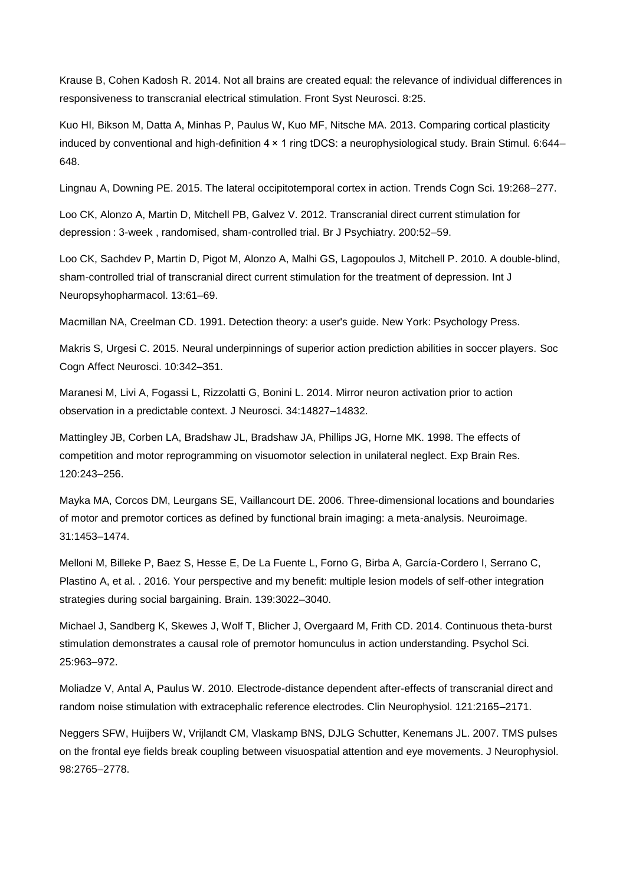Krause B, Cohen Kadosh R. 2014. Not all brains are created equal: the relevance of individual differences in responsiveness to transcranial electrical stimulation. Front Syst Neurosci. 8:25.

Kuo HI, Bikson M, Datta A, Minhas P, Paulus W, Kuo MF, Nitsche MA. 2013. Comparing cortical plasticity induced by conventional and high-definition 4 × 1 ring tDCS: a neurophysiological study. Brain Stimul. 6:644– 648.

Lingnau A, Downing PE. 2015. The lateral occipitotemporal cortex in action. Trends Cogn Sci. 19:268–277.

Loo CK, Alonzo A, Martin D, Mitchell PB, Galvez V. 2012. Transcranial direct current stimulation for depression : 3-week , randomised, sham-controlled trial. Br J Psychiatry. 200:52–59.

Loo CK, Sachdev P, Martin D, Pigot M, Alonzo A, Malhi GS, Lagopoulos J, Mitchell P. 2010. A double-blind, sham-controlled trial of transcranial direct current stimulation for the treatment of depression. Int J Neuropsyhopharmacol. 13:61–69.

Macmillan NA, Creelman CD. 1991. Detection theory: a user's guide. New York: Psychology Press.

Makris S, Urgesi C. 2015. Neural underpinnings of superior action prediction abilities in soccer players. Soc Cogn Affect Neurosci. 10:342–351.

Maranesi M, Livi A, Fogassi L, Rizzolatti G, Bonini L. 2014. Mirror neuron activation prior to action observation in a predictable context. J Neurosci. 34:14827–14832.

Mattingley JB, Corben LA, Bradshaw JL, Bradshaw JA, Phillips JG, Horne MK. 1998. The effects of competition and motor reprogramming on visuomotor selection in unilateral neglect. Exp Brain Res. 120:243–256.

Mayka MA, Corcos DM, Leurgans SE, Vaillancourt DE. 2006. Three-dimensional locations and boundaries of motor and premotor cortices as defined by functional brain imaging: a meta-analysis. Neuroimage. 31:1453–1474.

Melloni M, Billeke P, Baez S, Hesse E, De La Fuente L, Forno G, Birba A, García-Cordero I, Serrano C, Plastino A, et al. . 2016. Your perspective and my benefit: multiple lesion models of self-other integration strategies during social bargaining. Brain. 139:3022–3040.

Michael J, Sandberg K, Skewes J, Wolf T, Blicher J, Overgaard M, Frith CD. 2014. Continuous theta-burst stimulation demonstrates a causal role of premotor homunculus in action understanding. Psychol Sci. 25:963–972.

Moliadze V, Antal A, Paulus W. 2010. Electrode-distance dependent after-effects of transcranial direct and random noise stimulation with extracephalic reference electrodes. Clin Neurophysiol. 121:2165–2171.

Neggers SFW, Huijbers W, Vrijlandt CM, Vlaskamp BNS, DJLG Schutter, Kenemans JL. 2007. TMS pulses on the frontal eye fields break coupling between visuospatial attention and eye movements. J Neurophysiol. 98:2765–2778.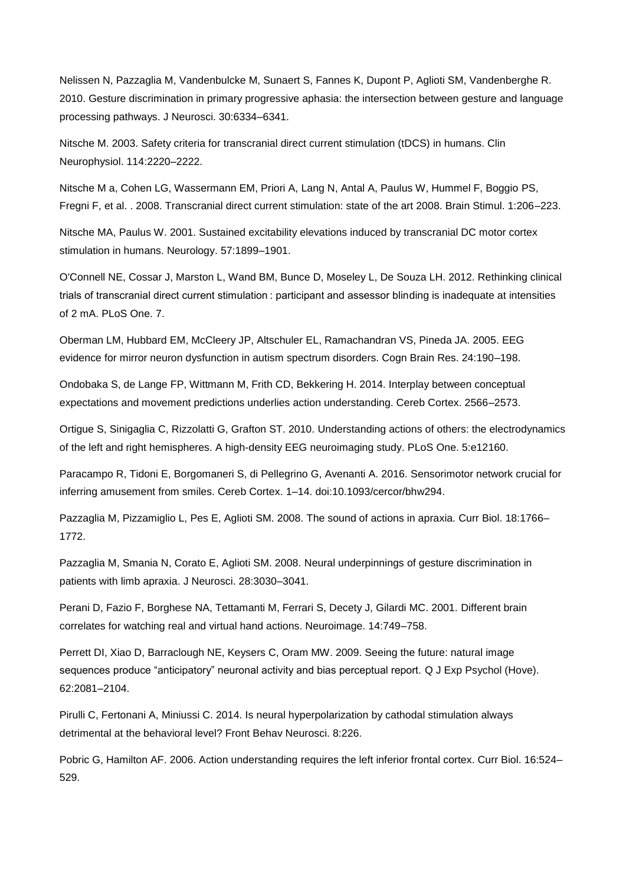Nelissen N, Pazzaglia M, Vandenbulcke M, Sunaert S, Fannes K, Dupont P, Aglioti SM, Vandenberghe R. 2010. Gesture discrimination in primary progressive aphasia: the intersection between gesture and language processing pathways. J Neurosci. 30:6334–6341.

Nitsche M. 2003. Safety criteria for transcranial direct current stimulation (tDCS) in humans. Clin Neurophysiol. 114:2220–2222.

Nitsche M a, Cohen LG, Wassermann EM, Priori A, Lang N, Antal A, Paulus W, Hummel F, Boggio PS, Fregni F, et al. . 2008. Transcranial direct current stimulation: state of the art 2008. Brain Stimul. 1:206–223.

Nitsche MA, Paulus W. 2001. Sustained excitability elevations induced by transcranial DC motor cortex stimulation in humans. Neurology. 57:1899–1901.

O'Connell NE, Cossar J, Marston L, Wand BM, Bunce D, Moseley L, De Souza LH. 2012. Rethinking clinical trials of transcranial direct current stimulation : participant and assessor blinding is inadequate at intensities of 2 mA. PLoS One. 7.

Oberman LM, Hubbard EM, McCleery JP, Altschuler EL, Ramachandran VS, Pineda JA. 2005. EEG evidence for mirror neuron dysfunction in autism spectrum disorders. Cogn Brain Res. 24:190–198.

Ondobaka S, de Lange FP, Wittmann M, Frith CD, Bekkering H. 2014. Interplay between conceptual expectations and movement predictions underlies action understanding. Cereb Cortex. 2566–2573.

Ortigue S, Sinigaglia C, Rizzolatti G, Grafton ST. 2010. Understanding actions of others: the electrodynamics of the left and right hemispheres. A high-density EEG neuroimaging study. PLoS One. 5:e12160.

Paracampo R, Tidoni E, Borgomaneri S, di Pellegrino G, Avenanti A. 2016. Sensorimotor network crucial for inferring amusement from smiles. Cereb Cortex. 1–14. doi:10.1093/cercor/bhw294.

Pazzaglia M, Pizzamiglio L, Pes E, Aglioti SM. 2008. The sound of actions in apraxia. Curr Biol. 18:1766– 1772.

Pazzaglia M, Smania N, Corato E, Aglioti SM. 2008. Neural underpinnings of gesture discrimination in patients with limb apraxia. J Neurosci. 28:3030–3041.

Perani D, Fazio F, Borghese NA, Tettamanti M, Ferrari S, Decety J, Gilardi MC. 2001. Different brain correlates for watching real and virtual hand actions. Neuroimage. 14:749–758.

Perrett DI, Xiao D, Barraclough NE, Keysers C, Oram MW. 2009. Seeing the future: natural image sequences produce "anticipatory" neuronal activity and bias perceptual report. Q J Exp Psychol (Hove). 62:2081–2104.

Pirulli C, Fertonani A, Miniussi C. 2014. Is neural hyperpolarization by cathodal stimulation always detrimental at the behavioral level? Front Behav Neurosci. 8:226.

Pobric G, Hamilton AF. 2006. Action understanding requires the left inferior frontal cortex. Curr Biol. 16:524– 529.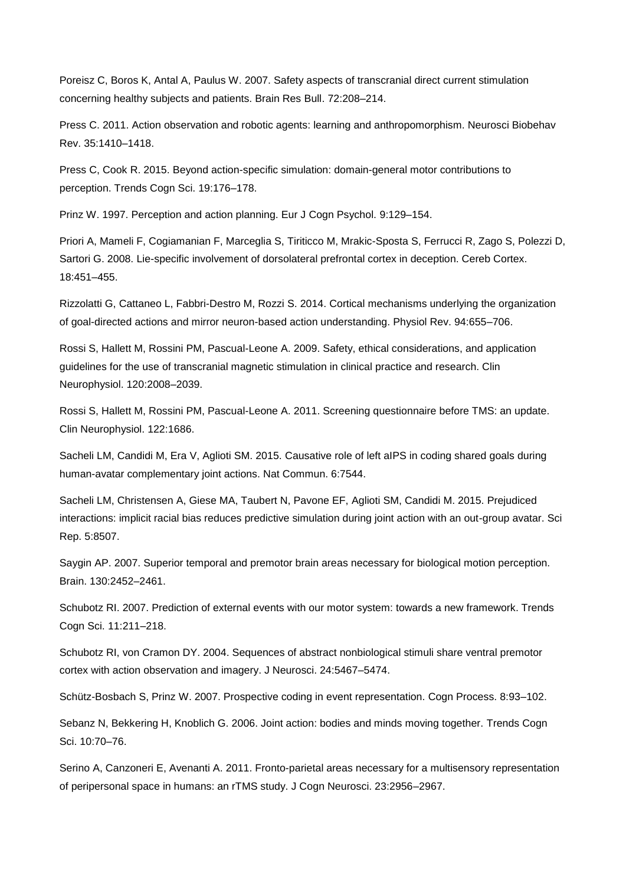Poreisz C, Boros K, Antal A, Paulus W. 2007. Safety aspects of transcranial direct current stimulation concerning healthy subjects and patients. Brain Res Bull. 72:208–214.

Press C. 2011. Action observation and robotic agents: learning and anthropomorphism. Neurosci Biobehav Rev. 35:1410–1418.

Press C, Cook R. 2015. Beyond action-specific simulation: domain-general motor contributions to perception. Trends Cogn Sci. 19:176–178.

Prinz W. 1997. Perception and action planning. Eur J Cogn Psychol. 9:129–154.

Priori A, Mameli F, Cogiamanian F, Marceglia S, Tiriticco M, Mrakic-Sposta S, Ferrucci R, Zago S, Polezzi D, Sartori G. 2008. Lie-specific involvement of dorsolateral prefrontal cortex in deception. Cereb Cortex. 18:451–455.

Rizzolatti G, Cattaneo L, Fabbri-Destro M, Rozzi S. 2014. Cortical mechanisms underlying the organization of goal-directed actions and mirror neuron-based action understanding. Physiol Rev. 94:655–706.

Rossi S, Hallett M, Rossini PM, Pascual-Leone A. 2009. Safety, ethical considerations, and application guidelines for the use of transcranial magnetic stimulation in clinical practice and research. Clin Neurophysiol. 120:2008–2039.

Rossi S, Hallett M, Rossini PM, Pascual-Leone A. 2011. Screening questionnaire before TMS: an update. Clin Neurophysiol. 122:1686.

Sacheli LM, Candidi M, Era V, Aglioti SM. 2015. Causative role of left aIPS in coding shared goals during human-avatar complementary joint actions. Nat Commun. 6:7544.

Sacheli LM, Christensen A, Giese MA, Taubert N, Pavone EF, Aglioti SM, Candidi M. 2015. Prejudiced interactions: implicit racial bias reduces predictive simulation during joint action with an out-group avatar. Sci Rep. 5:8507.

Saygin AP. 2007. Superior temporal and premotor brain areas necessary for biological motion perception. Brain. 130:2452–2461.

Schubotz RI. 2007. Prediction of external events with our motor system: towards a new framework. Trends Cogn Sci. 11:211–218.

Schubotz RI, von Cramon DY. 2004. Sequences of abstract nonbiological stimuli share ventral premotor cortex with action observation and imagery. J Neurosci. 24:5467–5474.

Schütz-Bosbach S, Prinz W. 2007. Prospective coding in event representation. Cogn Process. 8:93–102.

Sebanz N, Bekkering H, Knoblich G. 2006. Joint action: bodies and minds moving together. Trends Cogn Sci. 10:70–76.

Serino A, Canzoneri E, Avenanti A. 2011. Fronto-parietal areas necessary for a multisensory representation of peripersonal space in humans: an rTMS study. J Cogn Neurosci. 23:2956–2967.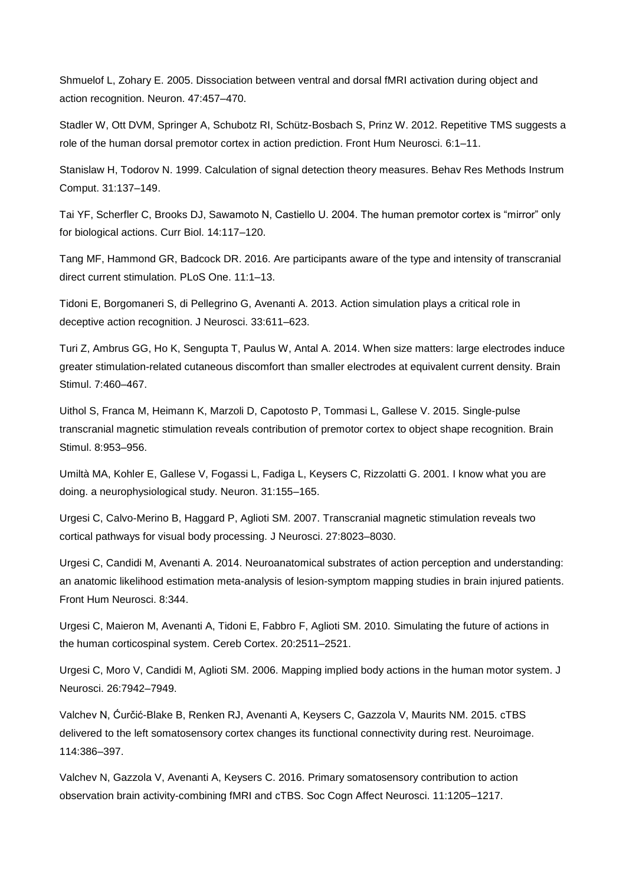Shmuelof L, Zohary E. 2005. Dissociation between ventral and dorsal fMRI activation during object and action recognition. Neuron. 47:457–470.

Stadler W, Ott DVM, Springer A, Schubotz RI, Schütz-Bosbach S, Prinz W. 2012. Repetitive TMS suggests a role of the human dorsal premotor cortex in action prediction. Front Hum Neurosci. 6:1–11.

Stanislaw H, Todorov N. 1999. Calculation of signal detection theory measures. Behav Res Methods Instrum Comput. 31:137–149.

Tai YF, Scherfler C, Brooks DJ, Sawamoto N, Castiello U. 2004. The human premotor cortex is "mirror" only for biological actions. Curr Biol. 14:117–120.

Tang MF, Hammond GR, Badcock DR. 2016. Are participants aware of the type and intensity of transcranial direct current stimulation. PLoS One. 11:1–13.

Tidoni E, Borgomaneri S, di Pellegrino G, Avenanti A. 2013. Action simulation plays a critical role in deceptive action recognition. J Neurosci. 33:611–623.

Turi Z, Ambrus GG, Ho K, Sengupta T, Paulus W, Antal A. 2014. When size matters: large electrodes induce greater stimulation-related cutaneous discomfort than smaller electrodes at equivalent current density. Brain Stimul. 7:460–467.

Uithol S, Franca M, Heimann K, Marzoli D, Capotosto P, Tommasi L, Gallese V. 2015. Single-pulse transcranial magnetic stimulation reveals contribution of premotor cortex to object shape recognition. Brain Stimul. 8:953–956.

Umiltà MA, Kohler E, Gallese V, Fogassi L, Fadiga L, Keysers C, Rizzolatti G. 2001. I know what you are doing. a neurophysiological study. Neuron. 31:155–165.

Urgesi C, Calvo-Merino B, Haggard P, Aglioti SM. 2007. Transcranial magnetic stimulation reveals two cortical pathways for visual body processing. J Neurosci. 27:8023–8030.

Urgesi C, Candidi M, Avenanti A. 2014. Neuroanatomical substrates of action perception and understanding: an anatomic likelihood estimation meta-analysis of lesion-symptom mapping studies in brain injured patients. Front Hum Neurosci. 8:344.

Urgesi C, Maieron M, Avenanti A, Tidoni E, Fabbro F, Aglioti SM. 2010. Simulating the future of actions in the human corticospinal system. Cereb Cortex. 20:2511–2521.

Urgesi C, Moro V, Candidi M, Aglioti SM. 2006. Mapping implied body actions in the human motor system. J Neurosci. 26:7942–7949.

Valchev N, Ćurčić-Blake B, Renken RJ, Avenanti A, Keysers C, Gazzola V, Maurits NM. 2015. cTBS delivered to the left somatosensory cortex changes its functional connectivity during rest. Neuroimage. 114:386–397.

Valchev N, Gazzola V, Avenanti A, Keysers C. 2016. Primary somatosensory contribution to action observation brain activity-combining fMRI and cTBS. Soc Cogn Affect Neurosci. 11:1205–1217.